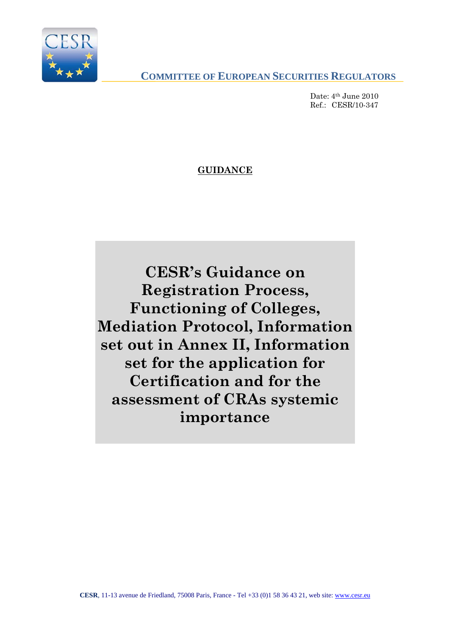

**COMMITTEE OF EUROPEAN SECURITIES REGULATORS**

Date: 4<sup>th</sup> June 2010  $Ref: CESR/10-347$ 

**GUIDANCE**

**CESR's Guidance on Registration Process, Functioning of Colleges, Mediation Protocol, Information set out in Annex II, Information set for the application for Certification and for the assessment of CRAs systemic importance**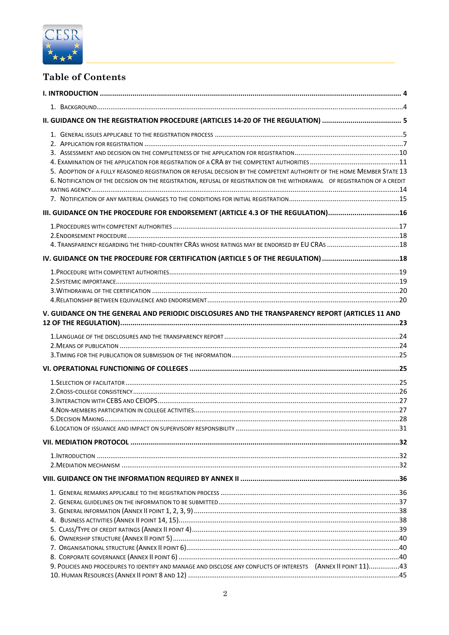

# **Table of Contents**

| 5. ADOPTION OF A FULLY REASONED REGISTRATION OR REFUSAL DECISION BY THE COMPETENT AUTHORITY OF THE HOME MEMBER STATE 13<br>6. NOTIFICATION OF THE DECISION ON THE REGISTRATION, REFUSAL OF REGISTRATION OR THE WITHDRAWAL OF REGISTRATION OF A CREDIT |  |
|-------------------------------------------------------------------------------------------------------------------------------------------------------------------------------------------------------------------------------------------------------|--|
| III. GUIDANCE ON THE PROCEDURE FOR ENDORSEMENT (ARTICLE 4.3 OF THE REGULATION)16                                                                                                                                                                      |  |
| IV. GUIDANCE ON THE PROCEDURE FOR CERTIFICATION (ARTICLE 5 OF THE REGULATION) 18                                                                                                                                                                      |  |
|                                                                                                                                                                                                                                                       |  |
| V. GUIDANCE ON THE GENERAL AND PERIODIC DISCLOSURES AND THE TRANSPARENCY REPORT (ARTICLES 11 AND                                                                                                                                                      |  |
|                                                                                                                                                                                                                                                       |  |
|                                                                                                                                                                                                                                                       |  |
|                                                                                                                                                                                                                                                       |  |
|                                                                                                                                                                                                                                                       |  |
|                                                                                                                                                                                                                                                       |  |
|                                                                                                                                                                                                                                                       |  |
| 9. POLICIES AND PROCEDURES TO IDENTIFY AND MANAGE AND DISCLOSE ANY CONFLICTS OF INTERESTS (ANNEX II POINT 11)43                                                                                                                                       |  |
|                                                                                                                                                                                                                                                       |  |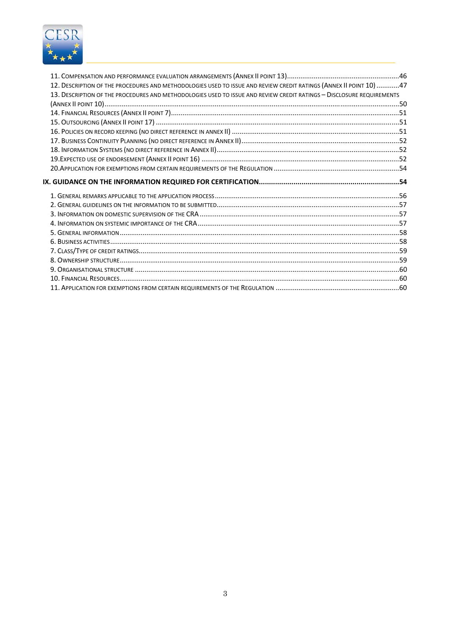

| 12. DESCRIPTION OF THE PROCEDURES AND METHODOLOGIES USED TO ISSUE AND REVIEW CREDIT RATINGS (ANNEX II POINT 10) 47    |  |
|-----------------------------------------------------------------------------------------------------------------------|--|
| 13. DESCRIPTION OF THE PROCEDURES AND METHODOLOGIES USED TO ISSUE AND REVIEW CREDIT RATINGS - DISCLOSURE REQUIREMENTS |  |
|                                                                                                                       |  |
|                                                                                                                       |  |
|                                                                                                                       |  |
|                                                                                                                       |  |
|                                                                                                                       |  |
|                                                                                                                       |  |
|                                                                                                                       |  |
|                                                                                                                       |  |
| IX. GUIDANCE ON THE INFORMATION REQUIRED FOR CERTIFICATION…………………………………………………………54                                    |  |
|                                                                                                                       |  |
|                                                                                                                       |  |
|                                                                                                                       |  |
|                                                                                                                       |  |
|                                                                                                                       |  |
|                                                                                                                       |  |
|                                                                                                                       |  |
|                                                                                                                       |  |
|                                                                                                                       |  |
|                                                                                                                       |  |
|                                                                                                                       |  |
|                                                                                                                       |  |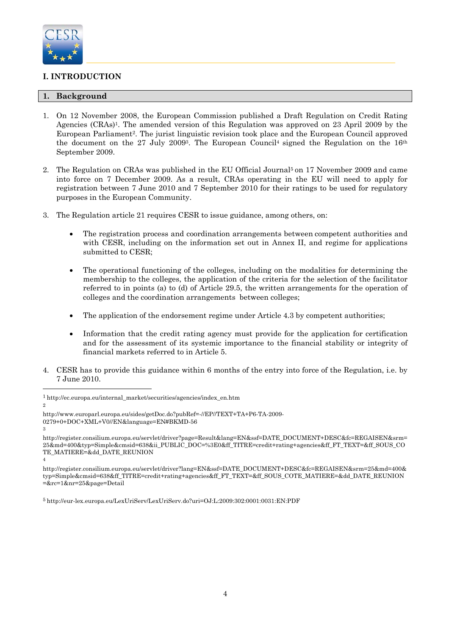

# **I. INTRODUCTION**

# **1. Background**

- 1. On 12 November 2008, the European Commission published a Draft Regulation on Credit Rating Agencies (CRAs)1. The amended version of this Regulation was approved on 23 April 2009 by the European Parliament2. The jurist linguistic revision took place and the European Council approved the document on the 27 July 2009<sup>3</sup>. The European Council<sup>4</sup> signed the Regulation on the  $16<sup>th</sup>$ September 2009.
- 2. The Regulation on CRAs was published in the EU Official Journal<sup>5</sup> on 17 November 2009 and came into force on 7 December 2009. As a result, CRAs operating in the EU will need to apply for registration between 7 June 2010 and 7 September 2010 for their ratings to be used for regulatory purposes in the European Community.
- 3. The Regulation article 21 requires CESR to issue guidance, among others, on:
	- The registration process and coordination arrangements between competent authorities and with CESR, including on the information set out in Annex II, and regime for applications submitted to CESR;
	- The operational functioning of the colleges, including on the modalities for determining the membership to the colleges, the application of the criteria for the selection of the facilitator referred to in points (a) to (d) of Article 29.5, the written arrangements for the operation of colleges and the coordination arrangements between colleges;
	- The application of the endorsement regime under Article 4.3 by competent authorities;
	- Information that the credit rating agency must provide for the application for certification and for the assessment of its systemic importance to the financial stability or integrity of financial markets referred to in Article 5.
- 4. CESR has to provide this guidance within 6 months of the entry into force of the Regulation, i.e. by 7 June 2010.

4

l

 $2^{\circ}$ 

3

<sup>1</sup> http://ec.europa.eu/internal\_market/securities/agencies/index\_en.htm

http://www.europarl.europa.eu/sides/getDoc.do?pubRef=-//EP//TEXT+TA+P6-TA-2009- 0279+0+DOC+XML+V0//EN&language=EN#BKMD-56

http://register.consilium.europa.eu/servlet/driver?page=Result&lang=EN&ssf=DATE\_DOCUMENT+DESC&fc=REGAISEN&srm= 25&md=400&typ=Simple&cmsid=638&ii\_PUBLIC\_DOC=%3E0&ff\_TITRE=credit+rating+agencies&ff\_FT\_TEXT=&ff\_SOUS\_CO TE\_MATIERE=&dd\_DATE\_REUNION

http://register.consilium.europa.eu/servlet/driver?lang=EN&ssf=DATE\_DOCUMENT+DESC&fc=REGAISEN&srm=25&md=400& typ=Simple&cmsid=638&ff\_TITRE=credit+rating+agencies&ff\_FT\_TEXT=&ff\_SOUS\_COTE\_MATIERE=&dd\_DATE\_REUNION =&rc=1&nr=25&page=Detail

<sup>5</sup> http://eur-lex.europa.eu/LexUriServ/LexUriServ.do?uri=OJ:L:2009:302:0001:0031:EN:PDF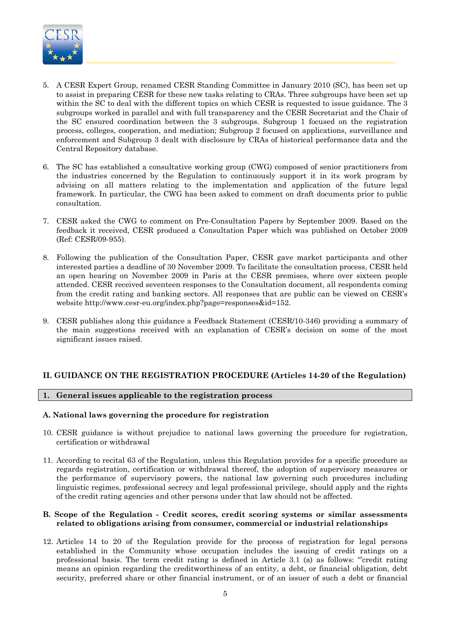

- 5. A CESR Expert Group, renamed CESR Standing Committee in January 2010 (SC), has been set up to assist in preparing CESR for these new tasks relating to CRAs. Three subgroups have been set up within the SC to deal with the different topics on which CESR is requested to issue guidance. The 3 subgroups worked in parallel and with full transparency and the CESR Secretariat and the Chair of the SC ensured coordination between the 3 subgroups. Subgroup 1 focused on the registration process, colleges, cooperation, and mediation; Subgroup 2 focused on applications, surveillance and enforcement and Subgroup 3 dealt with disclosure by CRAs of historical performance data and the Central Repository database.
- 6. The SC has established a consultative working group (CWG) composed of senior practitioners from the industries concerned by the Regulation to continuously support it in its work program by advising on all matters relating to the implementation and application of the future legal framework. In particular, the CWG has been asked to comment on draft documents prior to public consultation.
- 7. CESR asked the CWG to comment on Pre-Consultation Papers by September 2009. Based on the feedback it received, CESR produced a Consultation Paper which was published on October 2009 (Ref: CESR/09-955).
- 8. Following the publication of the Consultation Paper, CESR gave market participants and other interested parties a deadline of 30 November 2009. To facilitate the consultation process, CESR held an open hearing on November 2009 in Paris at the CESR premises, where over sixteen people attended. CESR received seventeen responses to the Consultation document, all respondents coming from the credit rating and banking sectors. All responses that are public can be viewed on CESR's website http://www.cesr-eu.org/index.php?page=responses&id=152.
- 9. CESR publishes along this guidance a Feedback Statement (CESR/10-346) providing a summary of the main suggestions received with an explanation of CESR's decision on some of the most significant issues raised.

# **II. GUIDANCE ON THE REGISTRATION PROCEDURE (Articles 14-20 of the Regulation)**

# **1. General issues applicable to the registration process**

# **A. National laws governing the procedure for registration**

- 10. CESR guidance is without prejudice to national laws governing the procedure for registration, certification or withdrawal
- 11. According to recital 63 of the Regulation, unless this Regulation provides for a specific procedure as regards registration, certification or withdrawal thereof, the adoption of supervisory measures or the performance of supervisory powers, the national law governing such procedures including linguistic regimes, professional secrecy and legal professional privilege, should apply and the rights of the credit rating agencies and other persons under that law should not be affected.

#### **B. Scope of the Regulation - Credit scores, credit scoring systems or similar assessments related to obligations arising from consumer, commercial or industrial relationships**

12. Articles 14 to 20 of the Regulation provide for the process of registration for legal persons established in the Community whose occupation includes the issuing of credit ratings on a professional basis. The term credit rating is defined in Article 3.1 (a) as follows: "'credit rating means an opinion regarding the creditworthiness of an entity, a debt, or financial obligation, debt security, preferred share or other financial instrument, or of an issuer of such a debt or financial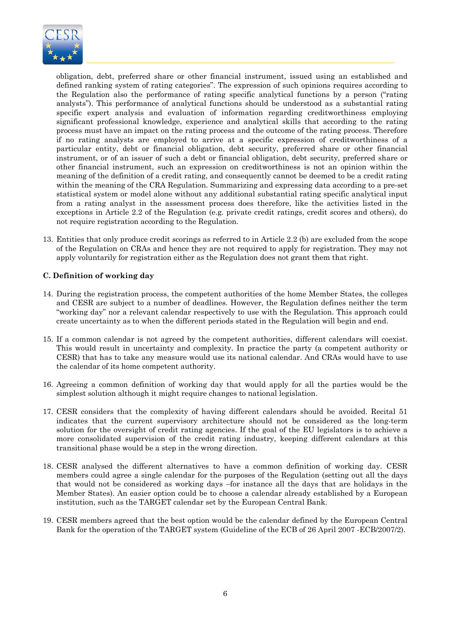

obligation, debt, preferred share or other financial instrument, issued using an established and defined ranking system of rating categories". The expression of such opinions requires according to the Regulation also the performance of rating specific analytical functions by a person ("rating analysts"). This performance of analytical functions should be understood as a substantial rating specific expert analysis and evaluation of information regarding creditworthiness employing significant professional knowledge, experience and analytical skills that according to the rating process must have an impact on the rating process and the outcome of the rating process. Therefore if no rating analysts are employed to arrive at a specific expression of creditworthiness of a particular entity, debt or financial obligation, debt security, preferred share or other financial instrument, or of an issuer of such a debt or financial obligation, debt security, preferred share or other financial instrument, such an expression on creditworthiness is not an opinion within the meaning of the definition of a credit rating, and consequently cannot be deemed to be a credit rating within the meaning of the CRA Regulation. Summarizing and expressing data according to a pre-set statistical system or model alone without any additional substantial rating specific analytical input from a rating analyst in the assessment process does therefore, like the activities listed in the exceptions in Article 2.2 of the Regulation (e.g. private credit ratings, credit scores and others), do not require registration according to the Regulation.

13. Entities that only produce credit scorings as referred to in Article 2.2 (b) are excluded from the scope of the Regulation on CRAs and hence they are not required to apply for registration. They may not apply voluntarily for registration either as the Regulation does not grant them that right.

# **C. Definition of working day**

- 14. During the registration process, the competent authorities of the home Member States, the colleges and CESR are subject to a number of deadlines. However, the Regulation defines neither the term "working day" nor a relevant calendar respectively to use with the Regulation. This approach could create uncertainty as to when the different periods stated in the Regulation will begin and end.
- 15. If a common calendar is not agreed by the competent authorities, different calendars will coexist. This would result in uncertainty and complexity. In practice the party (a competent authority or CESR) that has to take any measure would use its national calendar. And CRAs would have to use the calendar of its home competent authority.
- 16. Agreeing a common definition of working day that would apply for all the parties would be the simplest solution although it might require changes to national legislation.
- 17. CESR considers that the complexity of having different calendars should be avoided. Recital 51 indicates that the current supervisory architecture should not be considered as the long-term solution for the oversight of credit rating agencies. If the goal of the EU legislators is to achieve a more consolidated supervision of the credit rating industry, keeping different calendars at this transitional phase would be a step in the wrong direction.
- 18. CESR analysed the different alternatives to have a common definition of working day. CESR members could agree a single calendar for the purposes of the Regulation (setting out all the days that would not be considered as working days –for instance all the days that are holidays in the Member States). An easier option could be to choose a calendar already established by a European institution, such as the TARGET calendar set by the European Central Bank.
- 19. CESR members agreed that the best option would be the calendar defined by the European Central Bank for the operation of the TARGET system (Guideline of the ECB of 26 April 2007 -ECB/2007/2).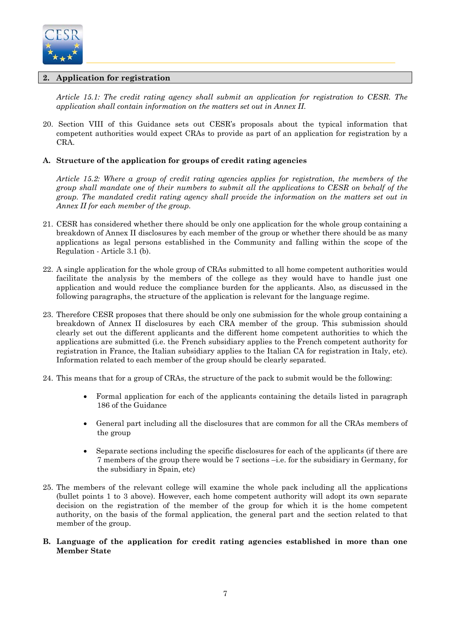

# **2. Application for registration**

*Article 15.1: The credit rating agency shall submit an application for registration to CESR. The application shall contain information on the matters set out in Annex II.* 

20. Section VIII of this Guidance sets out CESR's proposals about the typical information that competent authorities would expect CRAs to provide as part of an application for registration by a CRA.

# **A. Structure of the application for groups of credit rating agencies**

*Article 15.2: Where a group of credit rating agencies applies for registration, the members of the group shall mandate one of their numbers to submit all the applications to CESR on behalf of the group. The mandated credit rating agency shall provide the information on the matters set out in Annex II for each member of the group.* 

- 21. CESR has considered whether there should be only one application for the whole group containing a breakdown of Annex II disclosures by each member of the group or whether there should be as many applications as legal persons established in the Community and falling within the scope of the Regulation - Article 3.1 (b).
- 22. A single application for the whole group of CRAs submitted to all home competent authorities would facilitate the analysis by the members of the college as they would have to handle just one application and would reduce the compliance burden for the applicants. Also, as discussed in the following paragraphs, the structure of the application is relevant for the language regime.
- 23. Therefore CESR proposes that there should be only one submission for the whole group containing a breakdown of Annex II disclosures by each CRA member of the group. This submission should clearly set out the different applicants and the different home competent authorities to which the applications are submitted (i.e. the French subsidiary applies to the French competent authority for registration in France, the Italian subsidiary applies to the Italian CA for registration in Italy, etc). Information related to each member of the group should be clearly separated.
- 24. This means that for a group of CRAs, the structure of the pack to submit would be the following:
	- Formal application for each of the applicants containing the details listed in paragraph 186 of the Guidance
	- General part including all the disclosures that are common for all the CRAs members of the group
	- Separate sections including the specific disclosures for each of the applicants (if there are 7 members of the group there would be 7 sections –i.e. for the subsidiary in Germany, for the subsidiary in Spain, etc)
- 25. The members of the relevant college will examine the whole pack including all the applications (bullet points 1 to 3 above). However, each home competent authority will adopt its own separate decision on the registration of the member of the group for which it is the home competent authority, on the basis of the formal application, the general part and the section related to that member of the group.
- **B. Language of the application for credit rating agencies established in more than one Member State**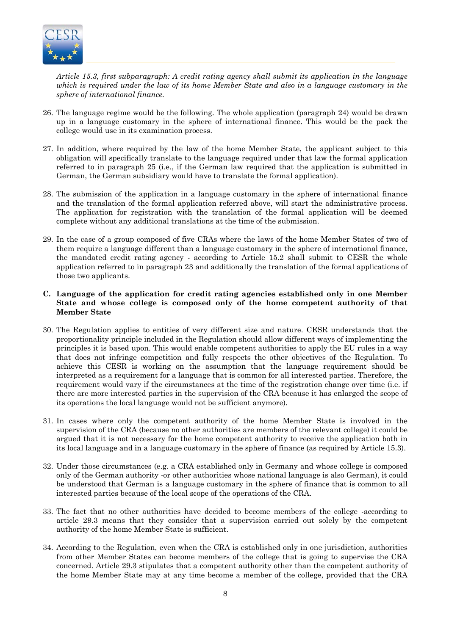

*Article 15.3, first subparagraph: A credit rating agency shall submit its application in the language which is required under the law of its home Member State and also in a language customary in the sphere of international finance.* 

- 26. The language regime would be the following. The whole application (paragraph 24) would be drawn up in a language customary in the sphere of international finance. This would be the pack the college would use in its examination process.
- 27. In addition, where required by the law of the home Member State, the applicant subject to this obligation will specifically translate to the language required under that law the formal application referred to in paragraph 25 (i.e., if the German law required that the application is submitted in German, the German subsidiary would have to translate the formal application).
- 28. The submission of the application in a language customary in the sphere of international finance and the translation of the formal application referred above, will start the administrative process. The application for registration with the translation of the formal application will be deemed complete without any additional translations at the time of the submission.
- 29. In the case of a group composed of five CRAs where the laws of the home Member States of two of them require a language different than a language customary in the sphere of international finance, the mandated credit rating agency - according to Article 15.2 shall submit to CESR the whole application referred to in paragraph 23 and additionally the translation of the formal applications of those two applicants.

# **C. Language of the application for credit rating agencies established only in one Member State and whose college is composed only of the home competent authority of that Member State**

- 30. The Regulation applies to entities of very different size and nature. CESR understands that the proportionality principle included in the Regulation should allow different ways of implementing the principles it is based upon. This would enable competent authorities to apply the EU rules in a way that does not infringe competition and fully respects the other objectives of the Regulation. To achieve this CESR is working on the assumption that the language requirement should be interpreted as a requirement for a language that is common for all interested parties. Therefore, the requirement would vary if the circumstances at the time of the registration change over time (i.e. if there are more interested parties in the supervision of the CRA because it has enlarged the scope of its operations the local language would not be sufficient anymore).
- 31. In cases where only the competent authority of the home Member State is involved in the supervision of the CRA (because no other authorities are members of the relevant college) it could be argued that it is not necessary for the home competent authority to receive the application both in its local language and in a language customary in the sphere of finance (as required by Article 15.3).
- 32. Under those circumstances (e.g. a CRA established only in Germany and whose college is composed only of the German authority -or other authorities whose national language is also German), it could be understood that German is a language customary in the sphere of finance that is common to all interested parties because of the local scope of the operations of the CRA.
- 33. The fact that no other authorities have decided to become members of the college -according to article 29.3 means that they consider that a supervision carried out solely by the competent authority of the home Member State is sufficient.
- 34. According to the Regulation, even when the CRA is established only in one jurisdiction, authorities from other Member States can become members of the college that is going to supervise the CRA concerned. Article 29.3 stipulates that a competent authority other than the competent authority of the home Member State may at any time become a member of the college, provided that the CRA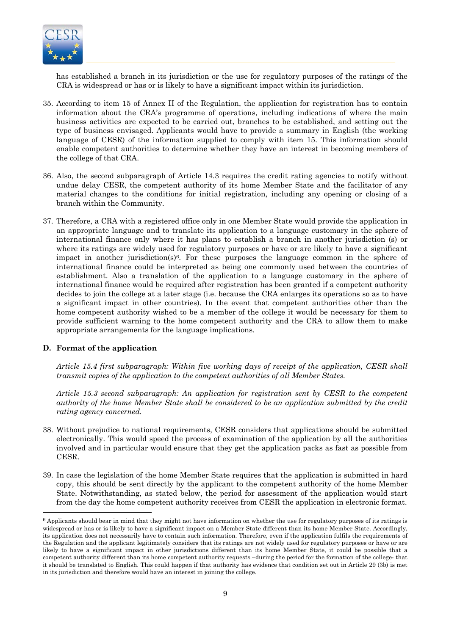

has established a branch in its jurisdiction or the use for regulatory purposes of the ratings of the CRA is widespread or has or is likely to have a significant impact within its jurisdiction.

- 35. According to item 15 of Annex II of the Regulation, the application for registration has to contain information about the CRA's programme of operations, including indications of where the main business activities are expected to be carried out, branches to be established, and setting out the type of business envisaged. Applicants would have to provide a summary in English (the working language of CESR) of the information supplied to comply with item 15. This information should enable competent authorities to determine whether they have an interest in becoming members of the college of that CRA.
- 36. Also, the second subparagraph of Article 14.3 requires the credit rating agencies to notify without undue delay CESR, the competent authority of its home Member State and the facilitator of any material changes to the conditions for initial registration, including any opening or closing of a branch within the Community.
- 37. Therefore, a CRA with a registered office only in one Member State would provide the application in an appropriate language and to translate its application to a language customary in the sphere of international finance only where it has plans to establish a branch in another jurisdiction (s) or where its ratings are widely used for regulatory purposes or have or are likely to have a significant impact in another jurisdiction( $s$ <sup>6</sup>. For these purposes the language common in the sphere of international finance could be interpreted as being one commonly used between the countries of establishment. Also a translation of the application to a language customary in the sphere of international finance would be required after registration has been granted if a competent authority decides to join the college at a later stage (i.e. because the CRA enlarges its operations so as to have a significant impact in other countries). In the event that competent authorities other than the home competent authority wished to be a member of the college it would be necessary for them to provide sufficient warning to the home competent authority and the CRA to allow them to make appropriate arrangements for the language implications.

#### **D. Format of the application**

l

*Article 15.4 first subparagraph: Within five working days of receipt of the application, CESR shall transmit copies of the application to the competent authorities of all Member States.* 

*Article 15.3 second subparagraph: An application for registration sent by CESR to the competent authority of the home Member State shall be considered to be an application submitted by the credit rating agency concerned.* 

- 38. Without prejudice to national requirements, CESR considers that applications should be submitted electronically. This would speed the process of examination of the application by all the authorities involved and in particular would ensure that they get the application packs as fast as possible from CESR.
- 39. In case the legislation of the home Member State requires that the application is submitted in hard copy, this should be sent directly by the applicant to the competent authority of the home Member State. Notwithstanding, as stated below, the period for assessment of the application would start from the day the home competent authority receives from CESR the application in electronic format.

 $6$  Applicants should bear in mind that they might not have information on whether the use for regulatory purposes of its ratings is widespread or has or is likely to have a significant impact on a Member State different than its home Member State. Accordingly, its application does not necessarily have to contain such information. Therefore, even if the application fulfils the requirements of the Regulation and the applicant legitimately considers that its ratings are not widely used for regulatory purposes or have or are likely to have a significant impact in other jurisdictions different than its home Member State, it could be possible that a competent authority different than its home competent authority requests –during the period for the formation of the college- that it should be translated to English. This could happen if that authority has evidence that condition set out in Article 29 (3b) is met in its jurisdiction and therefore would have an interest in joining the college.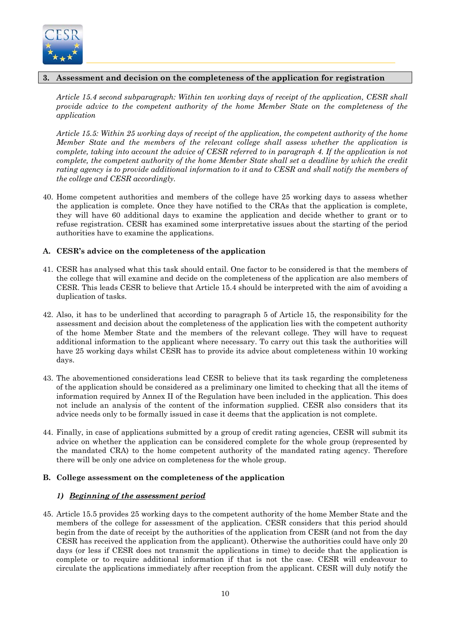

# **3. Assessment and decision on the completeness of the application for registration**

*Article 15.4 second subparagraph: Within ten working days of receipt of the application, CESR shall provide advice to the competent authority of the home Member State on the completeness of the application* 

*Article 15.5: Within 25 working days of receipt of the application, the competent authority of the home Member State and the members of the relevant college shall assess whether the application is complete, taking into account the advice of CESR referred to in paragraph 4. If the application is not complete, the competent authority of the home Member State shall set a deadline by which the credit rating agency is to provide additional information to it and to CESR and shall notify the members of the college and CESR accordingly.* 

40. Home competent authorities and members of the college have 25 working days to assess whether the application is complete. Once they have notified to the CRAs that the application is complete, they will have 60 additional days to examine the application and decide whether to grant or to refuse registration. CESR has examined some interpretative issues about the starting of the period authorities have to examine the applications.

# **A. CESR's advice on the completeness of the application**

- 41. CESR has analysed what this task should entail. One factor to be considered is that the members of the college that will examine and decide on the completeness of the application are also members of CESR. This leads CESR to believe that Article 15.4 should be interpreted with the aim of avoiding a duplication of tasks.
- 42. Also, it has to be underlined that according to paragraph 5 of Article 15, the responsibility for the assessment and decision about the completeness of the application lies with the competent authority of the home Member State and the members of the relevant college. They will have to request additional information to the applicant where necessary. To carry out this task the authorities will have 25 working days whilst CESR has to provide its advice about completeness within 10 working days.
- 43. The abovementioned considerations lead CESR to believe that its task regarding the completeness of the application should be considered as a preliminary one limited to checking that all the items of information required by Annex II of the Regulation have been included in the application. This does not include an analysis of the content of the information supplied. CESR also considers that its advice needs only to be formally issued in case it deems that the application is not complete.
- 44. Finally, in case of applications submitted by a group of credit rating agencies, CESR will submit its advice on whether the application can be considered complete for the whole group (represented by the mandated CRA) to the home competent authority of the mandated rating agency. Therefore there will be only one advice on completeness for the whole group.

# **B. College assessment on the completeness of the application**

# *1) Beginning of the assessment period*

45. Article 15.5 provides 25 working days to the competent authority of the home Member State and the members of the college for assessment of the application. CESR considers that this period should begin from the date of receipt by the authorities of the application from CESR (and not from the day CESR has received the application from the applicant). Otherwise the authorities could have only 20 days (or less if CESR does not transmit the applications in time) to decide that the application is complete or to require additional information if that is not the case. CESR will endeavour to circulate the applications immediately after reception from the applicant. CESR will duly notify the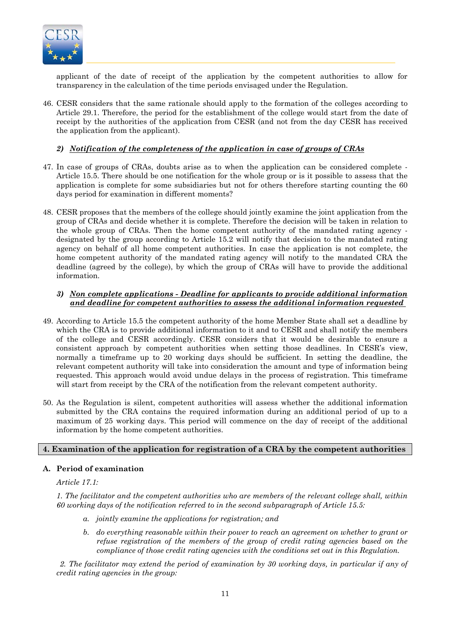

applicant of the date of receipt of the application by the competent authorities to allow for transparency in the calculation of the time periods envisaged under the Regulation.

46. CESR considers that the same rationale should apply to the formation of the colleges according to Article 29.1. Therefore, the period for the establishment of the college would start from the date of receipt by the authorities of the application from CESR (and not from the day CESR has received the application from the applicant).

# *2) Notification of the completeness of the application in case of groups of CRAs*

- 47. In case of groups of CRAs, doubts arise as to when the application can be considered complete Article 15.5. There should be one notification for the whole group or is it possible to assess that the application is complete for some subsidiaries but not for others therefore starting counting the 60 days period for examination in different moments?
- 48. CESR proposes that the members of the college should jointly examine the joint application from the group of CRAs and decide whether it is complete. Therefore the decision will be taken in relation to the whole group of CRAs. Then the home competent authority of the mandated rating agency designated by the group according to Article 15.2 will notify that decision to the mandated rating agency on behalf of all home competent authorities. In case the application is not complete, the home competent authority of the mandated rating agency will notify to the mandated CRA the deadline (agreed by the college), by which the group of CRAs will have to provide the additional information.

# *3) Non complete applications - Deadline for applicants to provide additional information and deadline for competent authorities to assess the additional information requested*

- 49. According to Article 15.5 the competent authority of the home Member State shall set a deadline by which the CRA is to provide additional information to it and to CESR and shall notify the members of the college and CESR accordingly. CESR considers that it would be desirable to ensure a consistent approach by competent authorities when setting those deadlines. In CESR's view, normally a timeframe up to 20 working days should be sufficient*.* In setting the deadline, the relevant competent authority will take into consideration the amount and type of information being requested. This approach would avoid undue delays in the process of registration. This timeframe will start from receipt by the CRA of the notification from the relevant competent authority.
- 50. As the Regulation is silent, competent authorities will assess whether the additional information submitted by the CRA contains the required information during an additional period of up to a maximum of 25 working days. This period will commence on the day of receipt of the additional information by the home competent authorities.

# **4. Examination of the application for registration of a CRA by the competent authorities**

# **A. Period of examination**

*Article 17.1:* 

*1. The facilitator and the competent authorities who are members of the relevant college shall, within 60 working days of the notification referred to in the second subparagraph of Article 15.5:* 

- *a. jointly examine the applications for registration; and*
- *b. do everything reasonable within their power to reach an agreement on whether to grant or refuse registration of the members of the group of credit rating agencies based on the compliance of those credit rating agencies with the conditions set out in this Regulation.*

*2. The facilitator may extend the period of examination by 30 working days, in particular if any of credit rating agencies in the group:*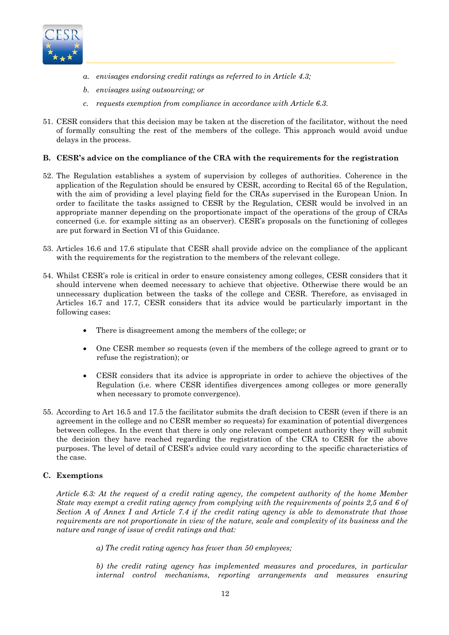

- *a. envisages endorsing credit ratings as referred to in Article 4.3;*
- *b. envisages using outsourcing; or*
- *c. requests exemption from compliance in accordance with Article 6.3.*
- 51. CESR considers that this decision may be taken at the discretion of the facilitator, without the need of formally consulting the rest of the members of the college. This approach would avoid undue delays in the process.

# **B. CESR's advice on the compliance of the CRA with the requirements for the registration**

- 52. The Regulation establishes a system of supervision by colleges of authorities. Coherence in the application of the Regulation should be ensured by CESR, according to Recital 65 of the Regulation, with the aim of providing a level playing field for the CRAs supervised in the European Union. In order to facilitate the tasks assigned to CESR by the Regulation, CESR would be involved in an appropriate manner depending on the proportionate impact of the operations of the group of CRAs concerned (i.e. for example sitting as an observer). CESR's proposals on the functioning of colleges are put forward in Section VI of this Guidance.
- 53. Articles 16.6 and 17.6 stipulate that CESR shall provide advice on the compliance of the applicant with the requirements for the registration to the members of the relevant college.
- 54. Whilst CESR's role is critical in order to ensure consistency among colleges, CESR considers that it should intervene when deemed necessary to achieve that objective. Otherwise there would be an unnecessary duplication between the tasks of the college and CESR. Therefore, as envisaged in Articles 16.7 and 17.7, CESR considers that its advice would be particularly important in the following cases:
	- There is disagreement among the members of the college; or
	- One CESR member so requests (even if the members of the college agreed to grant or to refuse the registration); or
	- CESR considers that its advice is appropriate in order to achieve the objectives of the Regulation (i.e. where CESR identifies divergences among colleges or more generally when necessary to promote convergence).
- 55. According to Art 16.5 and 17.5 the facilitator submits the draft decision to CESR (even if there is an agreement in the college and no CESR member so requests) for examination of potential divergences between colleges. In the event that there is only one relevant competent authority they will submit the decision they have reached regarding the registration of the CRA to CESR for the above purposes. The level of detail of CESR's advice could vary according to the specific characteristics of the case.

# **C. Exemptions**

*Article 6.3: At the request of a credit rating agency, the competent authority of the home Member State may exempt a credit rating agency from complying with the requirements of points 2,5 and 6 of Section A of Annex I and Article 7.4 if the credit rating agency is able to demonstrate that those requirements are not proportionate in view of the nature, scale and complexity of its business and the nature and range of issue of credit ratings and that:* 

*a) The credit rating agency has fewer than 50 employees;* 

*b) the credit rating agency has implemented measures and procedures, in particular internal control mechanisms, reporting arrangements and measures ensuring*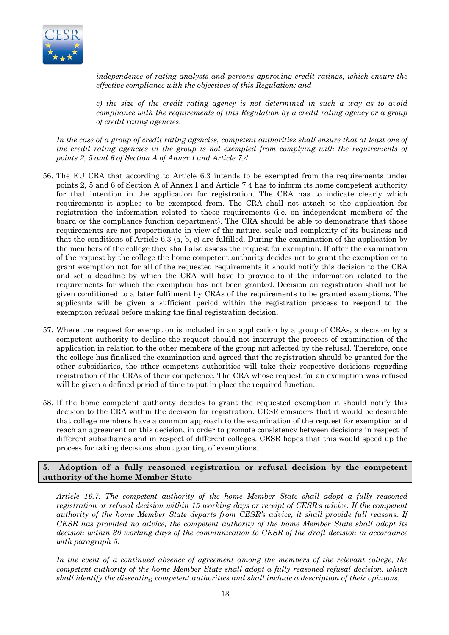

*independence of rating analysts and persons approving credit ratings, which ensure the effective compliance with the objectives of this Regulation; and* 

*c) the size of the credit rating agency is not determined in such a way as to avoid compliance with the requirements of this Regulation by a credit rating agency or a group of credit rating agencies.* 

*In the case of a group of credit rating agencies, competent authorities shall ensure that at least one of the credit rating agencies in the group is not exempted from complying with the requirements of points 2, 5 and 6 of Section A of Annex I and Article 7.4.* 

- 56. The EU CRA that according to Article 6.3 intends to be exempted from the requirements under points 2, 5 and 6 of Section A of Annex I and Article 7.4 has to inform its home competent authority for that intention in the application for registration. The CRA has to indicate clearly which requirements it applies to be exempted from. The CRA shall not attach to the application for registration the information related to these requirements (i.e. on independent members of the board or the compliance function department). The CRA should be able to demonstrate that those requirements are not proportionate in view of the nature, scale and complexity of its business and that the conditions of Article 6.3 (a, b, c) are fulfilled. During the examination of the application by the members of the college they shall also assess the request for exemption. If after the examination of the request by the college the home competent authority decides not to grant the exemption or to grant exemption not for all of the requested requirements it should notify this decision to the CRA and set a deadline by which the CRA will have to provide to it the information related to the requirements for which the exemption has not been granted. Decision on registration shall not be given conditioned to a later fulfilment by CRAs of the requirements to be granted exemptions. The applicants will be given a sufficient period within the registration process to respond to the exemption refusal before making the final registration decision.
- 57. Where the request for exemption is included in an application by a group of CRAs, a decision by a competent authority to decline the request should not interrupt the process of examination of the application in relation to the other members of the group not affected by the refusal. Therefore, once the college has finalised the examination and agreed that the registration should be granted for the other subsidiaries, the other competent authorities will take their respective decisions regarding registration of the CRAs of their competence. The CRA whose request for an exemption was refused will be given a defined period of time to put in place the required function.
- 58. If the home competent authority decides to grant the requested exemption it should notify this decision to the CRA within the decision for registration. CESR considers that it would be desirable that college members have a common approach to the examination of the request for exemption and reach an agreement on this decision, in order to promote consistency between decisions in respect of different subsidiaries and in respect of different colleges. CESR hopes that this would speed up the process for taking decisions about granting of exemptions.

### **5. Adoption of a fully reasoned registration or refusal decision by the competent authority of the home Member State**

*Article 16.7: The competent authority of the home Member State shall adopt a fully reasoned registration or refusal decision within 15 working days or receipt of CESR's advice. If the competent authority of the home Member State departs from CESR's advice, it shall provide full reasons. If CESR has provided no advice, the competent authority of the home Member State shall adopt its decision within 30 working days of the communication to CESR of the draft decision in accordance with paragraph 5.* 

In the event of a continued absence of agreement among the members of the relevant college, the *competent authority of the home Member State shall adopt a fully reasoned refusal decision, which shall identify the dissenting competent authorities and shall include a description of their opinions.*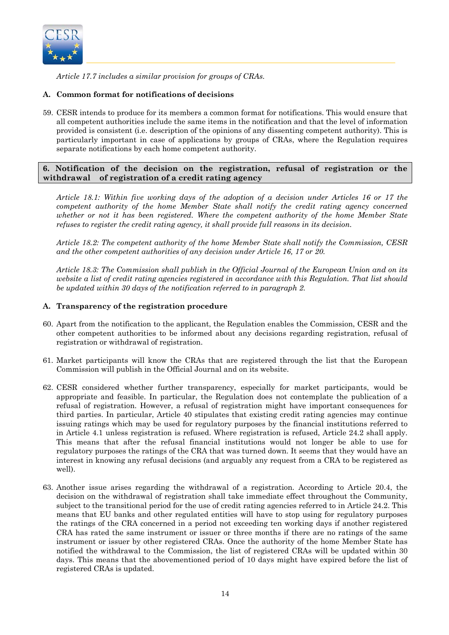

*Article 17.7 includes a similar provision for groups of CRAs.* 

# **A. Common format for notifications of decisions**

59. CESR intends to produce for its members a common format for notifications. This would ensure that all competent authorities include the same items in the notification and that the level of information provided is consistent (i.e. description of the opinions of any dissenting competent authority). This is particularly important in case of applications by groups of CRAs, where the Regulation requires separate notifications by each home competent authority.

# **6. Notification of the decision on the registration, refusal of registration or the withdrawal of registration of a credit rating agency**

*Article 18.1: Within five working days of the adoption of a decision under Articles 16 or 17 the competent authority of the home Member State shall notify the credit rating agency concerned whether or not it has been registered. Where the competent authority of the home Member State refuses to register the credit rating agency, it shall provide full reasons in its decision.* 

*Article 18.2: The competent authority of the home Member State shall notify the Commission, CESR and the other competent authorities of any decision under Article 16, 17 or 20.* 

*Article 18.3: The Commission shall publish in the Official Journal of the European Union and on its website a list of credit rating agencies registered in accordance with this Regulation. That list should be updated within 30 days of the notification referred to in paragraph 2.* 

# **A. Transparency of the registration procedure**

- 60. Apart from the notification to the applicant, the Regulation enables the Commission, CESR and the other competent authorities to be informed about any decisions regarding registration, refusal of registration or withdrawal of registration.
- 61. Market participants will know the CRAs that are registered through the list that the European Commission will publish in the Official Journal and on its website.
- 62. CESR considered whether further transparency, especially for market participants, would be appropriate and feasible. In particular, the Regulation does not contemplate the publication of a refusal of registration. However, a refusal of registration might have important consequences for third parties. In particular, Article 40 stipulates that existing credit rating agencies may continue issuing ratings which may be used for regulatory purposes by the financial institutions referred to in Article 4.1 unless registration is refused. Where registration is refused, Article 24.2 shall apply. This means that after the refusal financial institutions would not longer be able to use for regulatory purposes the ratings of the CRA that was turned down. It seems that they would have an interest in knowing any refusal decisions (and arguably any request from a CRA to be registered as well).
- 63. Another issue arises regarding the withdrawal of a registration. According to Article 20.4, the decision on the withdrawal of registration shall take immediate effect throughout the Community, subject to the transitional period for the use of credit rating agencies referred to in Article 24.2. This means that EU banks and other regulated entities will have to stop using for regulatory purposes the ratings of the CRA concerned in a period not exceeding ten working days if another registered CRA has rated the same instrument or issuer or three months if there are no ratings of the same instrument or issuer by other registered CRAs. Once the authority of the home Member State has notified the withdrawal to the Commission, the list of registered CRAs will be updated within 30 days. This means that the abovementioned period of 10 days might have expired before the list of registered CRAs is updated.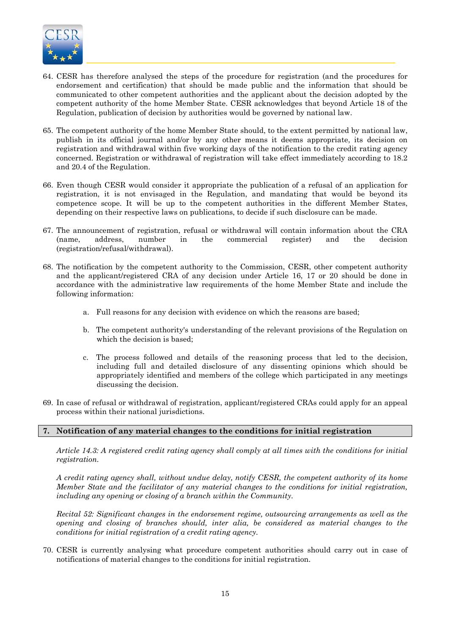

- 64. CESR has therefore analysed the steps of the procedure for registration (and the procedures for endorsement and certification) that should be made public and the information that should be communicated to other competent authorities and the applicant about the decision adopted by the competent authority of the home Member State. CESR acknowledges that beyond Article 18 of the Regulation, publication of decision by authorities would be governed by national law.
- 65. The competent authority of the home Member State should, to the extent permitted by national law, publish in its official journal and/or by any other means it deems appropriate, its decision on registration and withdrawal within five working days of the notification to the credit rating agency concerned. Registration or withdrawal of registration will take effect immediately according to 18.2 and 20.4 of the Regulation.
- 66. Even though CESR would consider it appropriate the publication of a refusal of an application for registration, it is not envisaged in the Regulation, and mandating that would be beyond its competence scope. It will be up to the competent authorities in the different Member States, depending on their respective laws on publications, to decide if such disclosure can be made.
- 67. The announcement of registration, refusal or withdrawal will contain information about the CRA (name, address, number in the commercial register) and the decision (registration/refusal/withdrawal).
- 68. The notification by the competent authority to the Commission, CESR, other competent authority and the applicant/registered CRA of any decision under Article 16, 17 or 20 should be done in accordance with the administrative law requirements of the home Member State and include the following information:
	- a. Full reasons for any decision with evidence on which the reasons are based;
	- b. The competent authority's understanding of the relevant provisions of the Regulation on which the decision is based:
	- c. The process followed and details of the reasoning process that led to the decision, including full and detailed disclosure of any dissenting opinions which should be appropriately identified and members of the college which participated in any meetings discussing the decision.
- 69. In case of refusal or withdrawal of registration, applicant/registered CRAs could apply for an appeal process within their national jurisdictions.

# **7. Notification of any material changes to the conditions for initial registration**

*Article 14.3: A registered credit rating agency shall comply at all times with the conditions for initial registration.* 

*A credit rating agency shall, without undue delay, notify CESR, the competent authority of its home Member State and the facilitator of any material changes to the conditions for initial registration, including any opening or closing of a branch within the Community.* 

*Recital 52: Significant changes in the endorsement regime, outsourcing arrangements as well as the opening and closing of branches should, inter alia, be considered as material changes to the conditions for initial registration of a credit rating agency.* 

70. CESR is currently analysing what procedure competent authorities should carry out in case of notifications of material changes to the conditions for initial registration.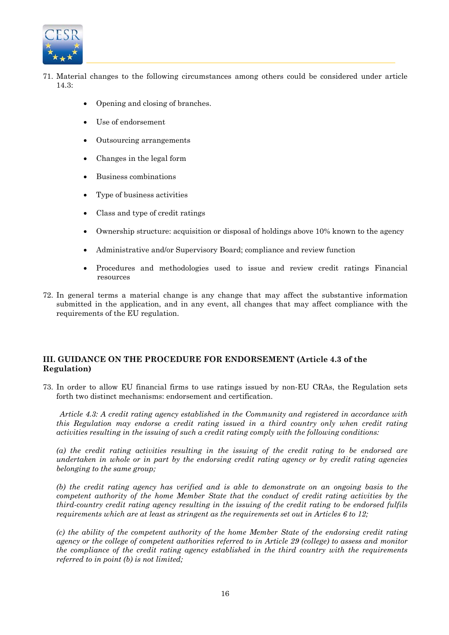

- 71. Material changes to the following circumstances among others could be considered under article 14.3:
	- Opening and closing of branches.
	- Use of endorsement
	- Outsourcing arrangements
	- Changes in the legal form
	- Business combinations
	- Type of business activities
	- Class and type of credit ratings
	- Ownership structure: acquisition or disposal of holdings above 10% known to the agency
	- Administrative and/or Supervisory Board; compliance and review function
	- Procedures and methodologies used to issue and review credit ratings Financial resources
- 72. In general terms a material change is any change that may affect the substantive information submitted in the application, and in any event, all changes that may affect compliance with the requirements of the EU regulation.

# **III. GUIDANCE ON THE PROCEDURE FOR ENDORSEMENT (Article 4.3 of the Regulation)**

73. In order to allow EU financial firms to use ratings issued by non-EU CRAs, the Regulation sets forth two distinct mechanisms: endorsement and certification.

*Article 4.3: A credit rating agency established in the Community and registered in accordance with this Regulation may endorse a credit rating issued in a third country only when credit rating activities resulting in the issuing of such a credit rating comply with the following conditions:* 

*(a) the credit rating activities resulting in the issuing of the credit rating to be endorsed are undertaken in whole or in part by the endorsing credit rating agency or by credit rating agencies belonging to the same group;* 

*(b) the credit rating agency has verified and is able to demonstrate on an ongoing basis to the competent authority of the home Member State that the conduct of credit rating activities by the third-country credit rating agency resulting in the issuing of the credit rating to be endorsed fulfils requirements which are at least as stringent as the requirements set out in Articles 6 to 12;* 

*(c) the ability of the competent authority of the home Member State of the endorsing credit rating agency or the college of competent authorities referred to in Article 29 (college) to assess and monitor the compliance of the credit rating agency established in the third country with the requirements referred to in point (b) is not limited;*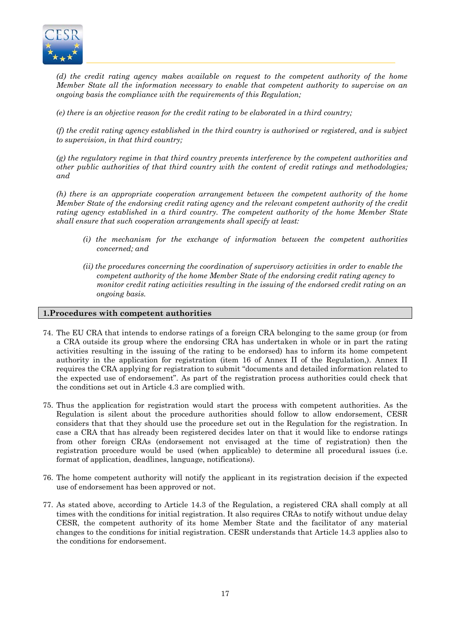

*(d) the credit rating agency makes available on request to the competent authority of the home Member State all the information necessary to enable that competent authority to supervise on an ongoing basis the compliance with the requirements of this Regulation;* 

*(e) there is an objective reason for the credit rating to be elaborated in a third country;* 

*(f) the credit rating agency established in the third country is authorised or registered, and is subject to supervision, in that third country;* 

*(g) the regulatory regime in that third country prevents interference by the competent authorities and other public authorities of that third country with the content of credit ratings and methodologies; and* 

*(h) there is an appropriate cooperation arrangement between the competent authority of the home Member State of the endorsing credit rating agency and the relevant competent authority of the credit rating agency established in a third country. The competent authority of the home Member State shall ensure that such cooperation arrangements shall specify at least:* 

- *(i) the mechanism for the exchange of information between the competent authorities concerned; and*
- *(ii) the procedures concerning the coordination of supervisory activities in order to enable the competent authority of the home Member State of the endorsing credit rating agency to monitor credit rating activities resulting in the issuing of the endorsed credit rating on an ongoing basis.*

### **1.Procedures with competent authorities**

- 74. The EU CRA that intends to endorse ratings of a foreign CRA belonging to the same group (or from a CRA outside its group where the endorsing CRA has undertaken in whole or in part the rating activities resulting in the issuing of the rating to be endorsed) has to inform its home competent authority in the application for registration (item 16 of Annex II of the Regulation,). Annex II requires the CRA applying for registration to submit "documents and detailed information related to the expected use of endorsement". As part of the registration process authorities could check that the conditions set out in Article 4.3 are complied with.
- 75. Thus the application for registration would start the process with competent authorities. As the Regulation is silent about the procedure authorities should follow to allow endorsement, CESR considers that that they should use the procedure set out in the Regulation for the registration. In case a CRA that has already been registered decides later on that it would like to endorse ratings from other foreign CRAs (endorsement not envisaged at the time of registration) then the registration procedure would be used (when applicable) to determine all procedural issues (i.e. format of application, deadlines, language, notifications).
- 76. The home competent authority will notify the applicant in its registration decision if the expected use of endorsement has been approved or not.
- 77. As stated above, according to Article 14.3 of the Regulation, a registered CRA shall comply at all times with the conditions for initial registration. It also requires CRAs to notify without undue delay CESR, the competent authority of its home Member State and the facilitator of any material changes to the conditions for initial registration. CESR understands that Article 14.3 applies also to the conditions for endorsement.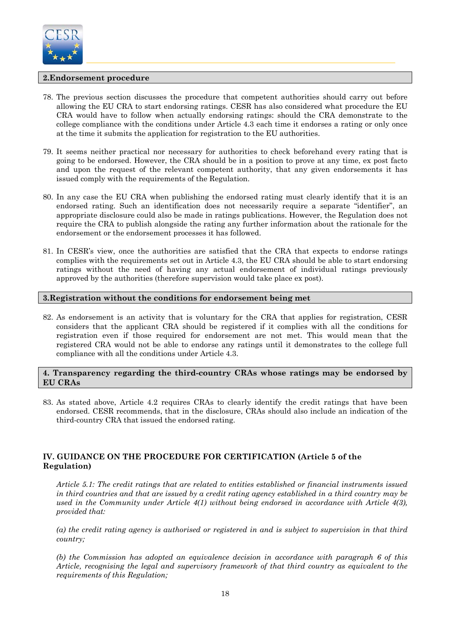

# **2.Endorsement procedure**

- 78. The previous section discusses the procedure that competent authorities should carry out before allowing the EU CRA to start endorsing ratings. CESR has also considered what procedure the EU CRA would have to follow when actually endorsing ratings: should the CRA demonstrate to the college compliance with the conditions under Article 4.3 each time it endorses a rating or only once at the time it submits the application for registration to the EU authorities.
- 79. It seems neither practical nor necessary for authorities to check beforehand every rating that is going to be endorsed. However, the CRA should be in a position to prove at any time, ex post facto and upon the request of the relevant competent authority, that any given endorsements it has issued comply with the requirements of the Regulation.
- 80. In any case the EU CRA when publishing the endorsed rating must clearly identify that it is an endorsed rating. Such an identification does not necessarily require a separate "identifier", an appropriate disclosure could also be made in ratings publications. However, the Regulation does not require the CRA to publish alongside the rating any further information about the rationale for the endorsement or the endorsement processes it has followed.
- 81. In CESR's view, once the authorities are satisfied that the CRA that expects to endorse ratings complies with the requirements set out in Article 4.3, the EU CRA should be able to start endorsing ratings without the need of having any actual endorsement of individual ratings previously approved by the authorities (therefore supervision would take place ex post).

### **3.Registration without the conditions for endorsement being met**

82. As endorsement is an activity that is voluntary for the CRA that applies for registration, CESR considers that the applicant CRA should be registered if it complies with all the conditions for registration even if those required for endorsement are not met. This would mean that the registered CRA would not be able to endorse any ratings until it demonstrates to the college full compliance with all the conditions under Article 4.3.

### **4. Transparency regarding the third-country CRAs whose ratings may be endorsed by EU CRAs**

83. As stated above, Article 4.2 requires CRAs to clearly identify the credit ratings that have been endorsed. CESR recommends, that in the disclosure, CRAs should also include an indication of the third-country CRA that issued the endorsed rating.

# **IV. GUIDANCE ON THE PROCEDURE FOR CERTIFICATION (Article 5 of the Regulation)**

*Article 5.1: The credit ratings that are related to entities established or financial instruments issued in third countries and that are issued by a credit rating agency established in a third country may be used in the Community under Article 4(1) without being endorsed in accordance with Article 4(3), provided that:* 

*(a) the credit rating agency is authorised or registered in and is subject to supervision in that third country;* 

*(b) the Commission has adopted an equivalence decision in accordance with paragraph 6 of this Article, recognising the legal and supervisory framework of that third country as equivalent to the requirements of this Regulation;*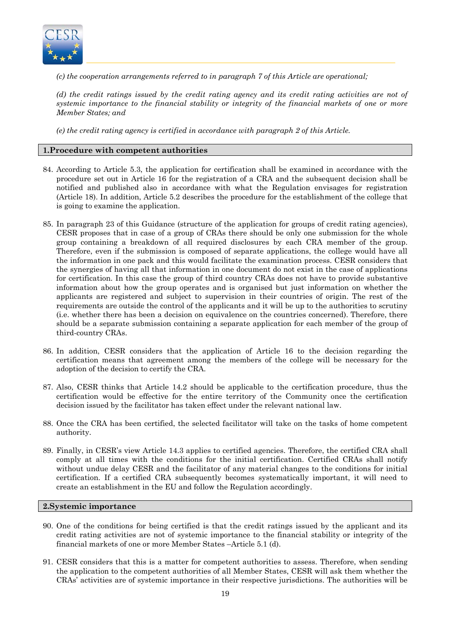

*(c) the cooperation arrangements referred to in paragraph 7 of this Article are operational;* 

*(d) the credit ratings issued by the credit rating agency and its credit rating activities are not of systemic importance to the financial stability or integrity of the financial markets of one or more Member States; and* 

*(e) the credit rating agency is certified in accordance with paragraph 2 of this Article.* 

# **1.Procedure with competent authorities**

- 84. According to Article 5.3, the application for certification shall be examined in accordance with the procedure set out in Article 16 for the registration of a CRA and the subsequent decision shall be notified and published also in accordance with what the Regulation envisages for registration (Article 18). In addition, Article 5.2 describes the procedure for the establishment of the college that is going to examine the application.
- 85. In paragraph 23 of this Guidance (structure of the application for groups of credit rating agencies), CESR proposes that in case of a group of CRAs there should be only one submission for the whole group containing a breakdown of all required disclosures by each CRA member of the group. Therefore, even if the submission is composed of separate applications, the college would have all the information in one pack and this would facilitate the examination process. CESR considers that the synergies of having all that information in one document do not exist in the case of applications for certification. In this case the group of third country CRAs does not have to provide substantive information about how the group operates and is organised but just information on whether the applicants are registered and subject to supervision in their countries of origin. The rest of the requirements are outside the control of the applicants and it will be up to the authorities to scrutiny (i.e. whether there has been a decision on equivalence on the countries concerned). Therefore, there should be a separate submission containing a separate application for each member of the group of third-country CRAs.
- 86. In addition, CESR considers that the application of Article 16 to the decision regarding the certification means that agreement among the members of the college will be necessary for the adoption of the decision to certify the CRA.
- 87. Also, CESR thinks that Article 14.2 should be applicable to the certification procedure, thus the certification would be effective for the entire territory of the Community once the certification decision issued by the facilitator has taken effect under the relevant national law.
- 88. Once the CRA has been certified, the selected facilitator will take on the tasks of home competent authority.
- 89. Finally, in CESR's view Article 14.3 applies to certified agencies. Therefore, the certified CRA shall comply at all times with the conditions for the initial certification. Certified CRAs shall notify without undue delay CESR and the facilitator of any material changes to the conditions for initial certification. If a certified CRA subsequently becomes systematically important, it will need to create an establishment in the EU and follow the Regulation accordingly.

#### **2.Systemic importance**

- 90. One of the conditions for being certified is that the credit ratings issued by the applicant and its credit rating activities are not of systemic importance to the financial stability or integrity of the financial markets of one or more Member States –Article 5.1 (d).
- 91. CESR considers that this is a matter for competent authorities to assess. Therefore, when sending the application to the competent authorities of all Member States, CESR will ask them whether the CRAs' activities are of systemic importance in their respective jurisdictions. The authorities will be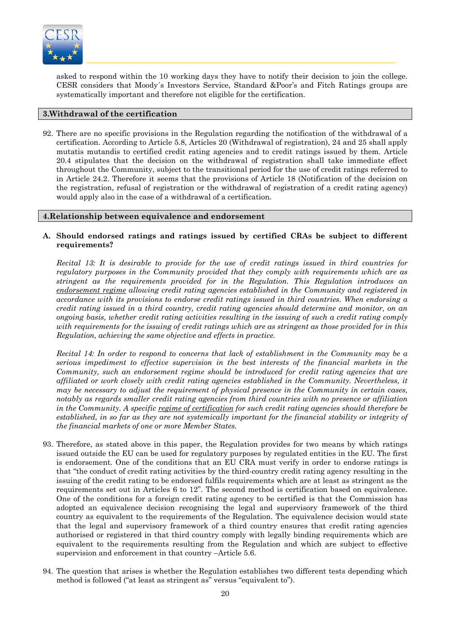

asked to respond within the 10 working days they have to notify their decision to join the college. CESR considers that Moody´s Investors Service, Standard &Poor's and Fitch Ratings groups are systematically important and therefore not eligible for the certification.

# **3.Withdrawal of the certification**

92. There are no specific provisions in the Regulation regarding the notification of the withdrawal of a certification. According to Article 5.8, Articles 20 (Withdrawal of registration), 24 and 25 shall apply mutatis mutandis to certified credit rating agencies and to credit ratings issued by them. Article 20.4 stipulates that the decision on the withdrawal of registration shall take immediate effect throughout the Community, subject to the transitional period for the use of credit ratings referred to in Article 24.2. Therefore it seems that the provisions of Article 18 (Notification of the decision on the registration, refusal of registration or the withdrawal of registration of a credit rating agency) would apply also in the case of a withdrawal of a certification.

### **4.Relationship between equivalence and endorsement**

# **A. Should endorsed ratings and ratings issued by certified CRAs be subject to different requirements?**

*Recital 13: It is desirable to provide for the use of credit ratings issued in third countries for regulatory purposes in the Community provided that they comply with requirements which are as stringent as the requirements provided for in the Regulation. This Regulation introduces an endorsement regime allowing credit rating agencies established in the Community and registered in accordance with its provisions to endorse credit ratings issued in third countries. When endorsing a credit rating issued in a third country, credit rating agencies should determine and monitor, on an ongoing basis, whether credit rating activities resulting in the issuing of such a credit rating comply with requirements for the issuing of credit ratings which are as stringent as those provided for in this Regulation, achieving the same objective and effects in practice.* 

*Recital 14: In order to respond to concerns that lack of establishment in the Community may be a serious impediment to effective supervision in the best interests of the financial markets in the Community, such an endorsement regime should be introduced for credit rating agencies that are affiliated or work closely with credit rating agencies established in the Community. Nevertheless, it may be necessary to adjust the requirement of physical presence in the Community in certain cases, notably as regards smaller credit rating agencies from third countries with no presence or affiliation in the Community. A specific regime of certification for such credit rating agencies should therefore be established, in so far as they are not systemically important for the financial stability or integrity of the financial markets of one or more Member States.* 

- 93. Therefore, as stated above in this paper, the Regulation provides for two means by which ratings issued outside the EU can be used for regulatory purposes by regulated entities in the EU. The first is endorsement. One of the conditions that an EU CRA must verify in order to endorse ratings is that "the conduct of credit rating activities by the third-country credit rating agency resulting in the issuing of the credit rating to be endorsed fulfils requirements which are at least as stringent as the requirements set out in Articles 6 to 12". The second method is certification based on equivalence. One of the conditions for a foreign credit rating agency to be certified is that the Commission has adopted an equivalence decision recognising the legal and supervisory framework of the third country as equivalent to the requirements of the Regulation. The equivalence decision would state that the legal and supervisory framework of a third country ensures that credit rating agencies authorised or registered in that third country comply with legally binding requirements which are equivalent to the requirements resulting from the Regulation and which are subject to effective supervision and enforcement in that country –Article 5.6.
- 94. The question that arises is whether the Regulation establishes two different tests depending which method is followed ("at least as stringent as" versus "equivalent to").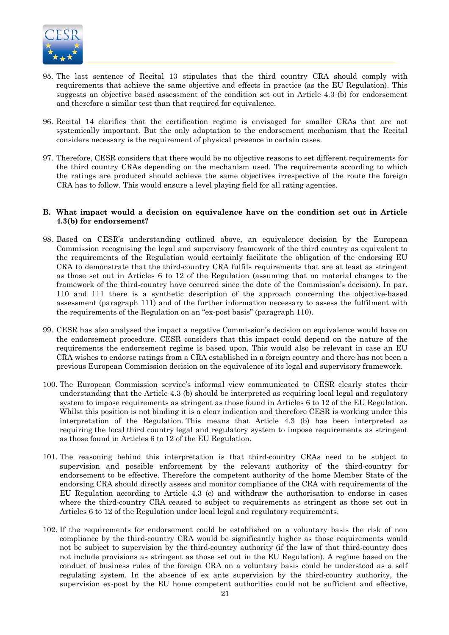

- 95. The last sentence of Recital 13 stipulates that the third country CRA should comply with requirements that achieve the same objective and effects in practice (as the EU Regulation). This suggests an objective based assessment of the condition set out in Article 4.3 (b) for endorsement and therefore a similar test than that required for equivalence.
- 96. Recital 14 clarifies that the certification regime is envisaged for smaller CRAs that are not systemically important. But the only adaptation to the endorsement mechanism that the Recital considers necessary is the requirement of physical presence in certain cases.
- 97. Therefore, CESR considers that there would be no objective reasons to set different requirements for the third country CRAs depending on the mechanism used. The requirements according to which the ratings are produced should achieve the same objectives irrespective of the route the foreign CRA has to follow. This would ensure a level playing field for all rating agencies.

#### **B. What impact would a decision on equivalence have on the condition set out in Article 4.3(b) for endorsement?**

- 98. Based on CESR's understanding outlined above, an equivalence decision by the European Commission recognising the legal and supervisory framework of the third country as equivalent to the requirements of the Regulation would certainly facilitate the obligation of the endorsing EU CRA to demonstrate that the third-country CRA fulfils requirements that are at least as stringent as those set out in Articles 6 to 12 of the Regulation (assuming that no material changes to the framework of the third-country have occurred since the date of the Commission's decision). In par. 110 and 111 there is a synthetic description of the approach concerning the objective-based assessment (paragraph 111) and of the further information necessary to assess the fulfilment with the requirements of the Regulation on an "ex-post basis" (paragraph 110).
- 99. CESR has also analysed the impact a negative Commission's decision on equivalence would have on the endorsement procedure. CESR considers that this impact could depend on the nature of the requirements the endorsement regime is based upon. This would also be relevant in case an EU CRA wishes to endorse ratings from a CRA established in a foreign country and there has not been a previous European Commission decision on the equivalence of its legal and supervisory framework.
- 100. The European Commission service's informal view communicated to CESR clearly states their understanding that the Article 4.3 (b) should be interpreted as requiring local legal and regulatory system to impose requirements as stringent as those found in Articles 6 to 12 of the EU Regulation. Whilst this position is not binding it is a clear indication and therefore CESR is working under this interpretation of the Regulation. This means that Article 4.3 (b) has been interpreted as requiring the local third country legal and regulatory system to impose requirements as stringent as those found in Articles 6 to 12 of the EU Regulation.
- 101. The reasoning behind this interpretation is that third-country CRAs need to be subject to supervision and possible enforcement by the relevant authority of the third-country for endorsement to be effective. Therefore the competent authority of the home Member State of the endorsing CRA should directly assess and monitor compliance of the CRA with requirements of the EU Regulation according to Article 4.3 (c) and withdraw the authorisation to endorse in cases where the third-country CRA ceased to subject to requirements as stringent as those set out in Articles 6 to 12 of the Regulation under local legal and regulatory requirements.
- 102. If the requirements for endorsement could be established on a voluntary basis the risk of non compliance by the third-country CRA would be significantly higher as those requirements would not be subject to supervision by the third-country authority (if the law of that third-country does not include provisions as stringent as those set out in the EU Regulation). A regime based on the conduct of business rules of the foreign CRA on a voluntary basis could be understood as a self regulating system. In the absence of ex ante supervision by the third-country authority, the supervision ex-post by the EU home competent authorities could not be sufficient and effective,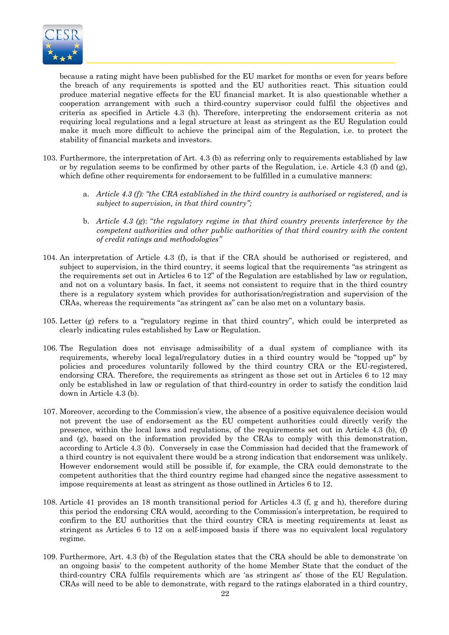

because a rating might have been published for the EU market for months or even for years before the breach of any requirements is spotted and the EU authorities react. This situation could produce material negative effects for the EU financial market. It is also questionable whether a cooperation arrangement with such a third-country supervisor could fulfil the objectives and criteria as specified in Article 4.3 (h). Therefore, interpreting the endorsement criteria as not requiring local regulations and a legal structure at least as stringent as the EU Regulation could make it much more difficult to achieve the principal aim of the Regulation, i.e. to protect the stability of financial markets and investors.

- 103. Furthermore, the interpretation of Art. 4.3 (b) as referring only to requirements established by law or by regulation seems to be confirmed by other parts of the Regulation, i.e. Article 4.3 (f) and (g), which define other requirements for endorsement to be fulfilled in a cumulative manners:
	- a. *Article 4.3 (f): "the CRA established in the third country is authorised or registered, and is subject to supervision, in that third country";*
	- b. *Article 4.3 (g*): "*the regulatory regime in that third country prevents interference by the competent authorities and other public authorities of that third country with the content of credit ratings and methodologies"*
- 104. An interpretation of Article 4.3 (f), is that if the CRA should be authorised or registered, and subject to supervision, in the third country, it seems logical that the requirements "as stringent as the requirements set out in Articles 6 to 12" of the Regulation are established by law or regulation, and not on a voluntary basis. In fact, it seems not consistent to require that in the third country there is a regulatory system which provides for authorisation/registration and supervision of the CRAs, whereas the requirements "as stringent as" can be also met on a voluntary basis.
- 105. Letter (g) refers to a "regulatory regime in that third country", which could be interpreted as clearly indicating rules established by Law or Regulation.
- 106. The Regulation does not envisage admissibility of a dual system of compliance with its requirements, whereby local legal/regulatory duties in a third country would be "topped up" by policies and procedures voluntarily followed by the third country CRA or the EU-registered, endorsing CRA. Therefore, the requirements as stringent as those set out in Articles 6 to 12 may only be established in law or regulation of that third-country in order to satisfy the condition laid down in Article 4.3 (b).
- 107. Moreover, according to the Commission's view, the absence of a positive equivalence decision would not prevent the use of endorsement as the EU competent authorities could directly verify the presence, within the local laws and regulations, of the requirements set out in Article 4.3 (b), (f) and (g), based on the information provided by the CRAs to comply with this demonstration, according to Article 4.3 (b). Conversely in case the Commission had decided that the framework of a third country is not equivalent there would be a strong indication that endorsement was unlikely. However endorsement would still be possible if, for example, the CRA could demonstrate to the competent authorities that the third country regime had changed since the negative assessment to impose requirements at least as stringent as those outlined in Articles 6 to 12.
- 108. Article 41 provides an 18 month transitional period for Articles 4.3 (f, g and h), therefore during this period the endorsing CRA would, according to the Commission's interpretation, be required to confirm to the EU authorities that the third country CRA is meeting requirements at least as stringent as Articles 6 to 12 on a self-imposed basis if there was no equivalent local regulatory regime.
- 109. Furthermore, Art. 4.3 (b) of the Regulation states that the CRA should be able to demonstrate 'on an ongoing basis' to the competent authority of the home Member State that the conduct of the third-country CRA fulfils requirements which are 'as stringent as' those of the EU Regulation. CRAs will need to be able to demonstrate, with regard to the ratings elaborated in a third country,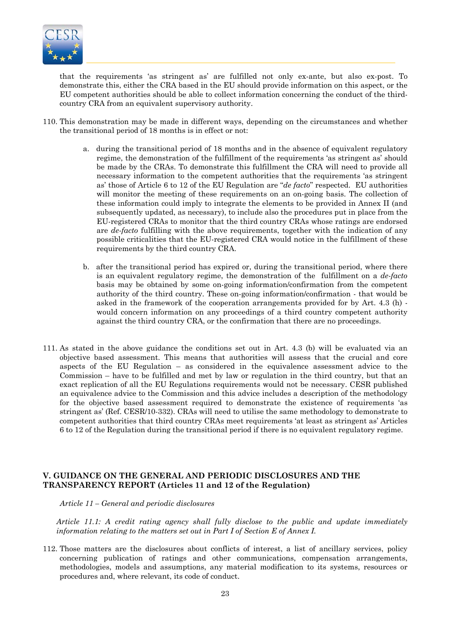

that the requirements 'as stringent as' are fulfilled not only ex-ante, but also ex-post. To demonstrate this, either the CRA based in the EU should provide information on this aspect, or the EU competent authorities should be able to collect information concerning the conduct of the thirdcountry CRA from an equivalent supervisory authority.

- 110. This demonstration may be made in different ways, depending on the circumstances and whether the transitional period of 18 months is in effect or not:
	- a. during the transitional period of 18 months and in the absence of equivalent regulatory regime, the demonstration of the fulfillment of the requirements 'as stringent as' should be made by the CRAs. To demonstrate this fulfillment the CRA will need to provide all necessary information to the competent authorities that the requirements 'as stringent as' those of Article 6 to 12 of the EU Regulation are "*de facto*" respected. EU authorities will monitor the meeting of these requirements on an on-going basis. The collection of these information could imply to integrate the elements to be provided in Annex II (and subsequently updated, as necessary), to include also the procedures put in place from the EU-registered CRAs to monitor that the third country CRAs whose ratings are endorsed are *de-facto* fulfilling with the above requirements, together with the indication of any possible criticalities that the EU-registered CRA would notice in the fulfillment of these requirements by the third country CRA.
	- b. after the transitional period has expired or, during the transitional period, where there is an equivalent regulatory regime, the demonstration of the fulfillment on a *de-facto* basis may be obtained by some on-going information/confirmation from the competent authority of the third country. These on-going information/confirmation - that would be asked in the framework of the cooperation arrangements provided for by Art. 4.3 (h) would concern information on any proceedings of a third country competent authority against the third country CRA, or the confirmation that there are no proceedings.
- 111. As stated in the above guidance the conditions set out in Art. 4.3 (b) will be evaluated via an objective based assessment. This means that authorities will assess that the crucial and core aspects of the EU Regulation – as considered in the equivalence assessment advice to the Commission – have to be fulfilled and met by law or regulation in the third country, but that an exact replication of all the EU Regulations requirements would not be necessary. CESR published an equivalence advice to the Commission and this advice includes a description of the methodology for the objective based assessment required to demonstrate the existence of requirements 'as stringent as' (Ref. CESR/10-332). CRAs will need to utilise the same methodology to demonstrate to competent authorities that third country CRAs meet requirements 'at least as stringent as' Articles 6 to 12 of the Regulation during the transitional period if there is no equivalent regulatory regime.

# **V. GUIDANCE ON THE GENERAL AND PERIODIC DISCLOSURES AND THE TRANSPARENCY REPORT (Articles 11 and 12 of the Regulation)**

*Article 11 – General and periodic disclosures* 

*Article 11.1: A credit rating agency shall fully disclose to the public and update immediately information relating to the matters set out in Part I of Section E of Annex I.* 

112. Those matters are the disclosures about conflicts of interest, a list of ancillary services, policy concerning publication of ratings and other communications, compensation arrangements, methodologies, models and assumptions, any material modification to its systems, resources or procedures and, where relevant, its code of conduct.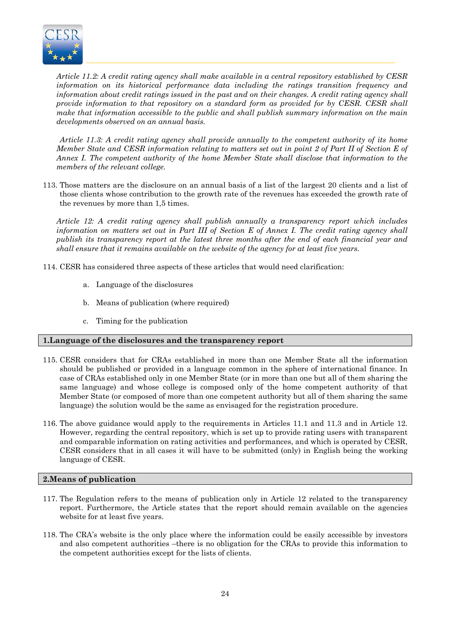

*Article 11.2: A credit rating agency shall make available in a central repository established by CESR information on its historical performance data including the ratings transition frequency and information about credit ratings issued in the past and on their changes. A credit rating agency shall provide information to that repository on a standard form as provided for by CESR. CESR shall make that information accessible to the public and shall publish summary information on the main developments observed on an annual basis.* 

*Article 11.3: A credit rating agency shall provide annually to the competent authority of its home Member State and CESR information relating to matters set out in point 2 of Part II of Section E of Annex I. The competent authority of the home Member State shall disclose that information to the members of the relevant college.* 

113. Those matters are the disclosure on an annual basis of a list of the largest 20 clients and a list of those clients whose contribution to the growth rate of the revenues has exceeded the growth rate of the revenues by more than 1,5 times.

*Article 12: A credit rating agency shall publish annually a transparency report which includes information on matters set out in Part III of Section E of Annex I. The credit rating agency shall publish its transparency report at the latest three months after the end of each financial year and shall ensure that it remains available on the website of the agency for at least five years.* 

114. CESR has considered three aspects of these articles that would need clarification:

- a. Language of the disclosures
- b. Means of publication (where required)
- c. Timing for the publication

#### **1.Language of the disclosures and the transparency report**

- 115. CESR considers that for CRAs established in more than one Member State all the information should be published or provided in a language common in the sphere of international finance. In case of CRAs established only in one Member State (or in more than one but all of them sharing the same language) and whose college is composed only of the home competent authority of that Member State (or composed of more than one competent authority but all of them sharing the same language) the solution would be the same as envisaged for the registration procedure.
- 116. The above guidance would apply to the requirements in Articles 11.1 and 11.3 and in Article 12. However, regarding the central repository, which is set up to provide rating users with transparent and comparable information on rating activities and performances, and which is operated by CESR, CESR considers that in all cases it will have to be submitted (only) in English being the working language of CESR.

#### **2.Means of publication**

- 117. The Regulation refers to the means of publication only in Article 12 related to the transparency report. Furthermore, the Article states that the report should remain available on the agencies website for at least five years.
- 118. The CRA's website is the only place where the information could be easily accessible by investors and also competent authorities –there is no obligation for the CRAs to provide this information to the competent authorities except for the lists of clients.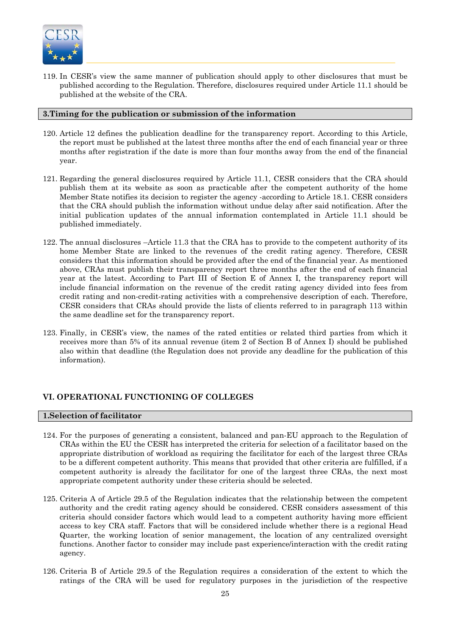

119. In CESR's view the same manner of publication should apply to other disclosures that must be published according to the Regulation. Therefore, disclosures required under Article 11.1 should be published at the website of the CRA.

#### **3.Timing for the publication or submission of the information**

- 120. Article 12 defines the publication deadline for the transparency report. According to this Article, the report must be published at the latest three months after the end of each financial year or three months after registration if the date is more than four months away from the end of the financial year.
- 121. Regarding the general disclosures required by Article 11.1, CESR considers that the CRA should publish them at its website as soon as practicable after the competent authority of the home Member State notifies its decision to register the agency -according to Article 18.1. CESR considers that the CRA should publish the information without undue delay after said notification. After the initial publication updates of the annual information contemplated in Article 11.1 should be published immediately.
- 122. The annual disclosures –Article 11.3 that the CRA has to provide to the competent authority of its home Member State are linked to the revenues of the credit rating agency. Therefore, CESR considers that this information should be provided after the end of the financial year. As mentioned above, CRAs must publish their transparency report three months after the end of each financial year at the latest. According to Part III of Section E of Annex I, the transparency report will include financial information on the revenue of the credit rating agency divided into fees from credit rating and non-credit-rating activities with a comprehensive description of each. Therefore, CESR considers that CRAs should provide the lists of clients referred to in paragraph 113 within the same deadline set for the transparency report.
- 123. Finally, in CESR's view, the names of the rated entities or related third parties from which it receives more than 5% of its annual revenue (item 2 of Section B of Annex I) should be published also within that deadline (the Regulation does not provide any deadline for the publication of this information).

# **VI. OPERATIONAL FUNCTIONING OF COLLEGES**

#### **1.Selection of facilitator**

- 124. For the purposes of generating a consistent, balanced and pan-EU approach to the Regulation of CRAs within the EU the CESR has interpreted the criteria for selection of a facilitator based on the appropriate distribution of workload as requiring the facilitator for each of the largest three CRAs to be a different competent authority. This means that provided that other criteria are fulfilled, if a competent authority is already the facilitator for one of the largest three CRAs, the next most appropriate competent authority under these criteria should be selected.
- 125. Criteria A of Article 29.5 of the Regulation indicates that the relationship between the competent authority and the credit rating agency should be considered. CESR considers assessment of this criteria should consider factors which would lead to a competent authority having more efficient access to key CRA staff. Factors that will be considered include whether there is a regional Head Quarter, the working location of senior management, the location of any centralized oversight functions. Another factor to consider may include past experience/interaction with the credit rating agency.
- 126. Criteria B of Article 29.5 of the Regulation requires a consideration of the extent to which the ratings of the CRA will be used for regulatory purposes in the jurisdiction of the respective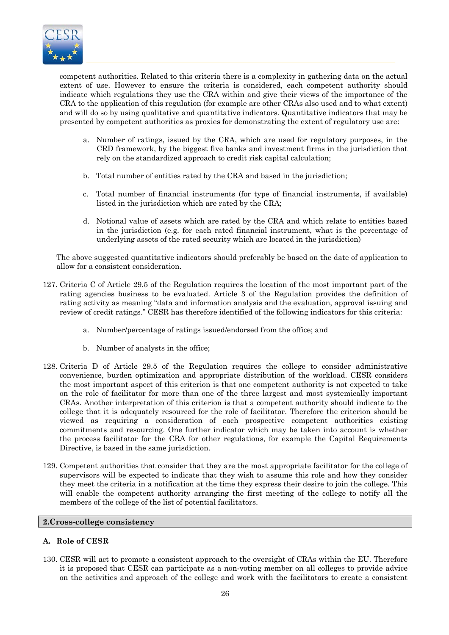

competent authorities. Related to this criteria there is a complexity in gathering data on the actual extent of use. However to ensure the criteria is considered, each competent authority should indicate which regulations they use the CRA within and give their views of the importance of the CRA to the application of this regulation (for example are other CRAs also used and to what extent) and will do so by using qualitative and quantitative indicators. Quantitative indicators that may be presented by competent authorities as proxies for demonstrating the extent of regulatory use are:

- a. Number of ratings, issued by the CRA, which are used for regulatory purposes, in the CRD framework, by the biggest five banks and investment firms in the jurisdiction that rely on the standardized approach to credit risk capital calculation;
- b. Total number of entities rated by the CRA and based in the jurisdiction;
- c. Total number of financial instruments (for type of financial instruments, if available) listed in the jurisdiction which are rated by the CRA;
- d. Notional value of assets which are rated by the CRA and which relate to entities based in the jurisdiction (e.g. for each rated financial instrument, what is the percentage of underlying assets of the rated security which are located in the jurisdiction)

The above suggested quantitative indicators should preferably be based on the date of application to allow for a consistent consideration.

- 127. Criteria C of Article 29.5 of the Regulation requires the location of the most important part of the rating agencies business to be evaluated. Article 3 of the Regulation provides the definition of rating activity as meaning "data and information analysis and the evaluation, approval issuing and review of credit ratings." CESR has therefore identified of the following indicators for this criteria:
	- a. Number/percentage of ratings issued/endorsed from the office; and
	- b. Number of analysts in the office;
- 128. Criteria D of Article 29.5 of the Regulation requires the college to consider administrative convenience, burden optimization and appropriate distribution of the workload. CESR considers the most important aspect of this criterion is that one competent authority is not expected to take on the role of facilitator for more than one of the three largest and most systemically important CRAs. Another interpretation of this criterion is that a competent authority should indicate to the college that it is adequately resourced for the role of facilitator. Therefore the criterion should be viewed as requiring a consideration of each prospective competent authorities existing commitments and resourcing. One further indicator which may be taken into account is whether the process facilitator for the CRA for other regulations, for example the Capital Requirements Directive, is based in the same jurisdiction.
- 129. Competent authorities that consider that they are the most appropriate facilitator for the college of supervisors will be expected to indicate that they wish to assume this role and how they consider they meet the criteria in a notification at the time they express their desire to join the college. This will enable the competent authority arranging the first meeting of the college to notify all the members of the college of the list of potential facilitators.

#### **2.Cross-college consistency**

# **A. Role of CESR**

130. CESR will act to promote a consistent approach to the oversight of CRAs within the EU. Therefore it is proposed that CESR can participate as a non-voting member on all colleges to provide advice on the activities and approach of the college and work with the facilitators to create a consistent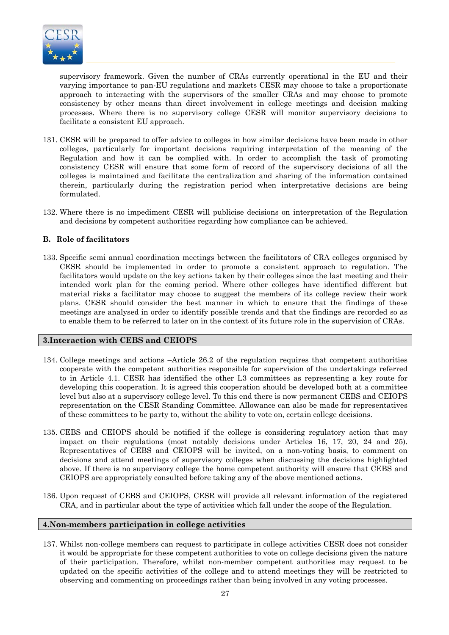

supervisory framework. Given the number of CRAs currently operational in the EU and their varying importance to pan-EU regulations and markets CESR may choose to take a proportionate approach to interacting with the supervisors of the smaller CRAs and may choose to promote consistency by other means than direct involvement in college meetings and decision making processes. Where there is no supervisory college CESR will monitor supervisory decisions to facilitate a consistent EU approach.

- 131. CESR will be prepared to offer advice to colleges in how similar decisions have been made in other colleges, particularly for important decisions requiring interpretation of the meaning of the Regulation and how it can be complied with. In order to accomplish the task of promoting consistency CESR will ensure that some form of record of the supervisory decisions of all the colleges is maintained and facilitate the centralization and sharing of the information contained therein, particularly during the registration period when interpretative decisions are being formulated.
- 132. Where there is no impediment CESR will publicise decisions on interpretation of the Regulation and decisions by competent authorities regarding how compliance can be achieved.

# **B. Role of facilitators**

133. Specific semi annual coordination meetings between the facilitators of CRA colleges organised by CESR should be implemented in order to promote a consistent approach to regulation. The facilitators would update on the key actions taken by their colleges since the last meeting and their intended work plan for the coming period. Where other colleges have identified different but material risks a facilitator may choose to suggest the members of its college review their work plans. CESR should consider the best manner in which to ensure that the findings of these meetings are analysed in order to identify possible trends and that the findings are recorded so as to enable them to be referred to later on in the context of its future role in the supervision of CRAs.

#### **3.Interaction with CEBS and CEIOPS**

- 134. College meetings and actions –Article 26.2 of the regulation requires that competent authorities cooperate with the competent authorities responsible for supervision of the undertakings referred to in Article 4.1. CESR has identified the other L3 committees as representing a key route for developing this cooperation. It is agreed this cooperation should be developed both at a committee level but also at a supervisory college level. To this end there is now permanent CEBS and CEIOPS representation on the CESR Standing Committee. Allowance can also be made for representatives of these committees to be party to, without the ability to vote on, certain college decisions.
- 135. CEBS and CEIOPS should be notified if the college is considering regulatory action that may impact on their regulations (most notably decisions under Articles 16, 17, 20, 24 and 25). Representatives of CEBS and CEIOPS will be invited, on a non-voting basis, to comment on decisions and attend meetings of supervisory colleges when discussing the decisions highlighted above. If there is no supervisory college the home competent authority will ensure that CEBS and CEIOPS are appropriately consulted before taking any of the above mentioned actions.
- 136. Upon request of CEBS and CEIOPS, CESR will provide all relevant information of the registered CRA, and in particular about the type of activities which fall under the scope of the Regulation.

#### **4.Non-members participation in college activities**

137. Whilst non-college members can request to participate in college activities CESR does not consider it would be appropriate for these competent authorities to vote on college decisions given the nature of their participation. Therefore, whilst non-member competent authorities may request to be updated on the specific activities of the college and to attend meetings they will be restricted to observing and commenting on proceedings rather than being involved in any voting processes.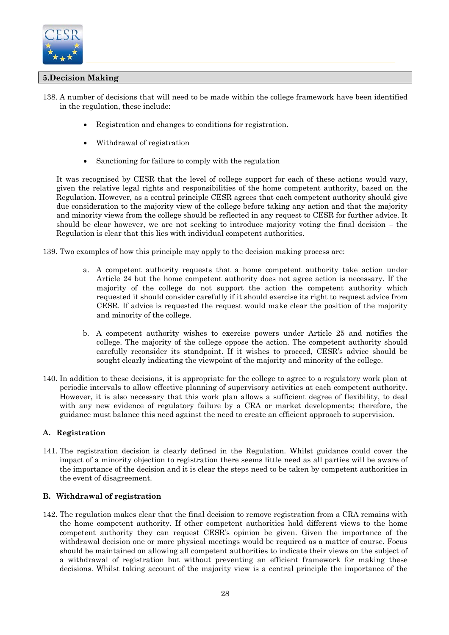

# **5.Decision Making**

- 138. A number of decisions that will need to be made within the college framework have been identified in the regulation, these include:
	- Registration and changes to conditions for registration.
	- Withdrawal of registration
	- Sanctioning for failure to comply with the regulation

It was recognised by CESR that the level of college support for each of these actions would vary, given the relative legal rights and responsibilities of the home competent authority, based on the Regulation. However, as a central principle CESR agrees that each competent authority should give due consideration to the majority view of the college before taking any action and that the majority and minority views from the college should be reflected in any request to CESR for further advice. It should be clear however, we are not seeking to introduce majority voting the final decision – the Regulation is clear that this lies with individual competent authorities.

139. Two examples of how this principle may apply to the decision making process are:

- a. A competent authority requests that a home competent authority take action under Article 24 but the home competent authority does not agree action is necessary. If the majority of the college do not support the action the competent authority which requested it should consider carefully if it should exercise its right to request advice from CESR. If advice is requested the request would make clear the position of the majority and minority of the college.
- b. A competent authority wishes to exercise powers under Article 25 and notifies the college. The majority of the college oppose the action. The competent authority should carefully reconsider its standpoint. If it wishes to proceed, CESR's advice should be sought clearly indicating the viewpoint of the majority and minority of the college.
- 140. In addition to these decisions, it is appropriate for the college to agree to a regulatory work plan at periodic intervals to allow effective planning of supervisory activities at each competent authority. However, it is also necessary that this work plan allows a sufficient degree of flexibility, to deal with any new evidence of regulatory failure by a CRA or market developments; therefore, the guidance must balance this need against the need to create an efficient approach to supervision.

# **A. Registration**

141. The registration decision is clearly defined in the Regulation. Whilst guidance could cover the impact of a minority objection to registration there seems little need as all parties will be aware of the importance of the decision and it is clear the steps need to be taken by competent authorities in the event of disagreement.

# **B. Withdrawal of registration**

142. The regulation makes clear that the final decision to remove registration from a CRA remains with the home competent authority. If other competent authorities hold different views to the home competent authority they can request CESR's opinion be given. Given the importance of the withdrawal decision one or more physical meetings would be required as a matter of course. Focus should be maintained on allowing all competent authorities to indicate their views on the subject of a withdrawal of registration but without preventing an efficient framework for making these decisions. Whilst taking account of the majority view is a central principle the importance of the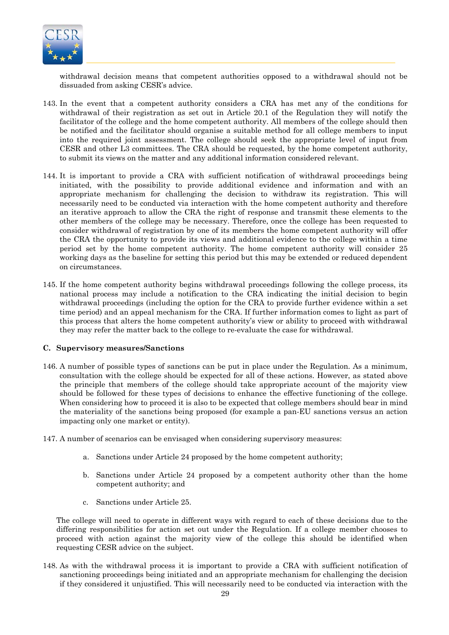

withdrawal decision means that competent authorities opposed to a withdrawal should not be dissuaded from asking CESR's advice.

- 143. In the event that a competent authority considers a CRA has met any of the conditions for withdrawal of their registration as set out in Article 20.1 of the Regulation they will notify the facilitator of the college and the home competent authority. All members of the college should then be notified and the facilitator should organise a suitable method for all college members to input into the required joint assessment. The college should seek the appropriate level of input from CESR and other L3 committees. The CRA should be requested, by the home competent authority, to submit its views on the matter and any additional information considered relevant.
- 144. It is important to provide a CRA with sufficient notification of withdrawal proceedings being initiated, with the possibility to provide additional evidence and information and with an appropriate mechanism for challenging the decision to withdraw its registration. This will necessarily need to be conducted via interaction with the home competent authority and therefore an iterative approach to allow the CRA the right of response and transmit these elements to the other members of the college may be necessary. Therefore, once the college has been requested to consider withdrawal of registration by one of its members the home competent authority will offer the CRA the opportunity to provide its views and additional evidence to the college within a time period set by the home competent authority. The home competent authority will consider 25 working days as the baseline for setting this period but this may be extended or reduced dependent on circumstances.
- 145. If the home competent authority begins withdrawal proceedings following the college process, its national process may include a notification to the CRA indicating the initial decision to begin withdrawal proceedings (including the option for the CRA to provide further evidence within a set time period) and an appeal mechanism for the CRA. If further information comes to light as part of this process that alters the home competent authority's view or ability to proceed with withdrawal they may refer the matter back to the college to re-evaluate the case for withdrawal.

#### **C. Supervisory measures/Sanctions**

- 146. A number of possible types of sanctions can be put in place under the Regulation. As a minimum, consultation with the college should be expected for all of these actions. However, as stated above the principle that members of the college should take appropriate account of the majority view should be followed for these types of decisions to enhance the effective functioning of the college. When considering how to proceed it is also to be expected that college members should bear in mind the materiality of the sanctions being proposed (for example a pan-EU sanctions versus an action impacting only one market or entity).
- 147. A number of scenarios can be envisaged when considering supervisory measures:
	- a. Sanctions under Article 24 proposed by the home competent authority;
	- b. Sanctions under Article 24 proposed by a competent authority other than the home competent authority; and
	- c. Sanctions under Article 25.

The college will need to operate in different ways with regard to each of these decisions due to the differing responsibilities for action set out under the Regulation. If a college member chooses to proceed with action against the majority view of the college this should be identified when requesting CESR advice on the subject.

148. As with the withdrawal process it is important to provide a CRA with sufficient notification of sanctioning proceedings being initiated and an appropriate mechanism for challenging the decision if they considered it unjustified. This will necessarily need to be conducted via interaction with the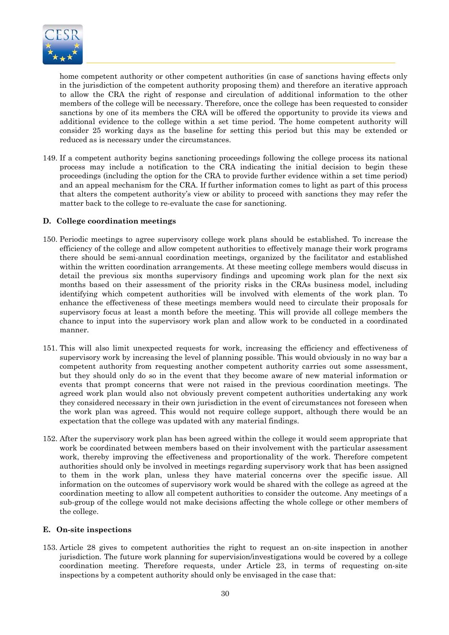

home competent authority or other competent authorities (in case of sanctions having effects only in the jurisdiction of the competent authority proposing them) and therefore an iterative approach to allow the CRA the right of response and circulation of additional information to the other members of the college will be necessary. Therefore, once the college has been requested to consider sanctions by one of its members the CRA will be offered the opportunity to provide its views and additional evidence to the college within a set time period. The home competent authority will consider 25 working days as the baseline for setting this period but this may be extended or reduced as is necessary under the circumstances.

149. If a competent authority begins sanctioning proceedings following the college process its national process may include a notification to the CRA indicating the initial decision to begin these proceedings (including the option for the CRA to provide further evidence within a set time period) and an appeal mechanism for the CRA. If further information comes to light as part of this process that alters the competent authority's view or ability to proceed with sanctions they may refer the matter back to the college to re-evaluate the case for sanctioning.

# **D. College coordination meetings**

- 150. Periodic meetings to agree supervisory college work plans should be established. To increase the efficiency of the college and allow competent authorities to effectively manage their work programs there should be semi-annual coordination meetings, organized by the facilitator and established within the written coordination arrangements. At these meeting college members would discuss in detail the previous six months supervisory findings and upcoming work plan for the next six months based on their assessment of the priority risks in the CRAs business model, including identifying which competent authorities will be involved with elements of the work plan. To enhance the effectiveness of these meetings members would need to circulate their proposals for supervisory focus at least a month before the meeting. This will provide all college members the chance to input into the supervisory work plan and allow work to be conducted in a coordinated manner.
- 151. This will also limit unexpected requests for work, increasing the efficiency and effectiveness of supervisory work by increasing the level of planning possible. This would obviously in no way bar a competent authority from requesting another competent authority carries out some assessment, but they should only do so in the event that they become aware of new material information or events that prompt concerns that were not raised in the previous coordination meetings. The agreed work plan would also not obviously prevent competent authorities undertaking any work they considered necessary in their own jurisdiction in the event of circumstances not foreseen when the work plan was agreed. This would not require college support, although there would be an expectation that the college was updated with any material findings.
- 152. After the supervisory work plan has been agreed within the college it would seem appropriate that work be coordinated between members based on their involvement with the particular assessment work, thereby improving the effectiveness and proportionality of the work. Therefore competent authorities should only be involved in meetings regarding supervisory work that has been assigned to them in the work plan, unless they have material concerns over the specific issue. All information on the outcomes of supervisory work would be shared with the college as agreed at the coordination meeting to allow all competent authorities to consider the outcome. Any meetings of a sub-group of the college would not make decisions affecting the whole college or other members of the college.

#### **E. On-site inspections**

153. Article 28 gives to competent authorities the right to request an on-site inspection in another jurisdiction. The future work planning for supervision/investigations would be covered by a college coordination meeting. Therefore requests, under Article 23, in terms of requesting on-site inspections by a competent authority should only be envisaged in the case that: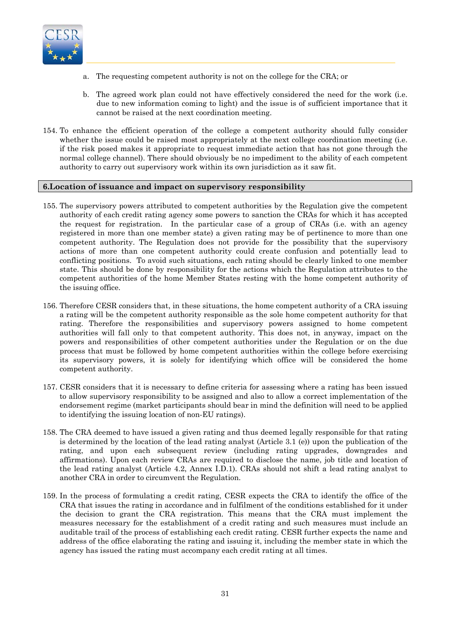

- a. The requesting competent authority is not on the college for the CRA; or
- b. The agreed work plan could not have effectively considered the need for the work (i.e. due to new information coming to light) and the issue is of sufficient importance that it cannot be raised at the next coordination meeting.
- 154. To enhance the efficient operation of the college a competent authority should fully consider whether the issue could be raised most appropriately at the next college coordination meeting (i.e. if the risk posed makes it appropriate to request immediate action that has not gone through the normal college channel). There should obviously be no impediment to the ability of each competent authority to carry out supervisory work within its own jurisdiction as it saw fit.

#### **6.Location of issuance and impact on supervisory responsibility**

- 155. The supervisory powers attributed to competent authorities by the Regulation give the competent authority of each credit rating agency some powers to sanction the CRAs for which it has accepted the request for registration. In the particular case of a group of CRAs (i.e. with an agency registered in more than one member state) a given rating may be of pertinence to more than one competent authority. The Regulation does not provide for the possibility that the supervisory actions of more than one competent authority could create confusion and potentially lead to conflicting positions. To avoid such situations, each rating should be clearly linked to one member state. This should be done by responsibility for the actions which the Regulation attributes to the competent authorities of the home Member States resting with the home competent authority of the issuing office.
- 156. Therefore CESR considers that, in these situations, the home competent authority of a CRA issuing a rating will be the competent authority responsible as the sole home competent authority for that rating. Therefore the responsibilities and supervisory powers assigned to home competent authorities will fall only to that competent authority. This does not, in anyway, impact on the powers and responsibilities of other competent authorities under the Regulation or on the due process that must be followed by home competent authorities within the college before exercising its supervisory powers, it is solely for identifying which office will be considered the home competent authority.
- 157. CESR considers that it is necessary to define criteria for assessing where a rating has been issued to allow supervisory responsibility to be assigned and also to allow a correct implementation of the endorsement regime (market participants should bear in mind the definition will need to be applied to identifying the issuing location of non-EU ratings).
- 158. The CRA deemed to have issued a given rating and thus deemed legally responsible for that rating is determined by the location of the lead rating analyst (Article 3.1 (e)) upon the publication of the rating, and upon each subsequent review (including rating upgrades, downgrades and affirmations). Upon each review CRAs are required to disclose the name, job title and location of the lead rating analyst (Article 4.2, Annex I.D.1). CRAs should not shift a lead rating analyst to another CRA in order to circumvent the Regulation.
- 159. In the process of formulating a credit rating, CESR expects the CRA to identify the office of the CRA that issues the rating in accordance and in fulfilment of the conditions established for it under the decision to grant the CRA registration. This means that the CRA must implement the measures necessary for the establishment of a credit rating and such measures must include an auditable trail of the process of establishing each credit rating. CESR further expects the name and address of the office elaborating the rating and issuing it, including the member state in which the agency has issued the rating must accompany each credit rating at all times.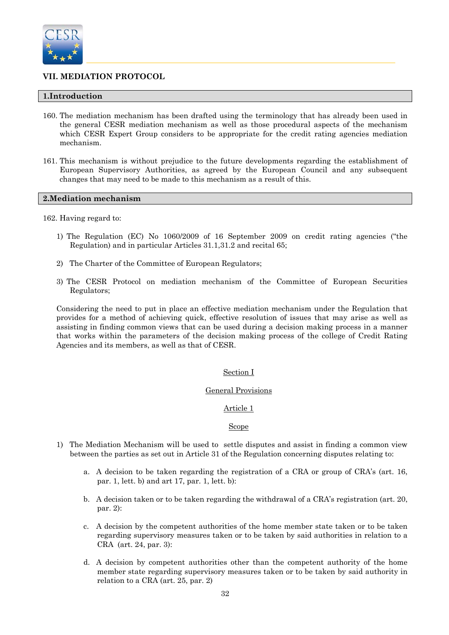

# **VII. MEDIATION PROTOCOL**

# **1.Introduction**

- 160. The mediation mechanism has been drafted using the terminology that has already been used in the general CESR mediation mechanism as well as those procedural aspects of the mechanism which CESR Expert Group considers to be appropriate for the credit rating agencies mediation mechanism.
- 161. This mechanism is without prejudice to the future developments regarding the establishment of European Supervisory Authorities, as agreed by the European Council and any subsequent changes that may need to be made to this mechanism as a result of this.

#### **2.Mediation mechanism**

162. Having regard to:

- 1) The Regulation (EC) No 1060/2009 of 16 September 2009 on credit rating agencies ("the Regulation) and in particular Articles 31.1,31.2 and recital 65;
- 2) The Charter of the Committee of European Regulators;
- 3) The CESR Protocol on mediation mechanism of the Committee of European Securities Regulators;

Considering the need to put in place an effective mediation mechanism under the Regulation that provides for a method of achieving quick, effective resolution of issues that may arise as well as assisting in finding common views that can be used during a decision making process in a manner that works within the parameters of the decision making process of the college of Credit Rating Agencies and its members, as well as that of CESR.

#### Section I

#### General Provisions

### Article 1

#### Scope

- 1) The Mediation Mechanism will be used to settle disputes and assist in finding a common view between the parties as set out in Article 31 of the Regulation concerning disputes relating to:
	- a. A decision to be taken regarding the registration of a CRA or group of CRA's (art. 16, par. 1, lett. b) and art 17, par. 1, lett. b):
	- b. A decision taken or to be taken regarding the withdrawal of a CRA's registration (art. 20, par. 2):
	- c. A decision by the competent authorities of the home member state taken or to be taken regarding supervisory measures taken or to be taken by said authorities in relation to a CRA (art. 24, par. 3):
	- d. A decision by competent authorities other than the competent authority of the home member state regarding supervisory measures taken or to be taken by said authority in relation to a CRA (art. 25, par. 2)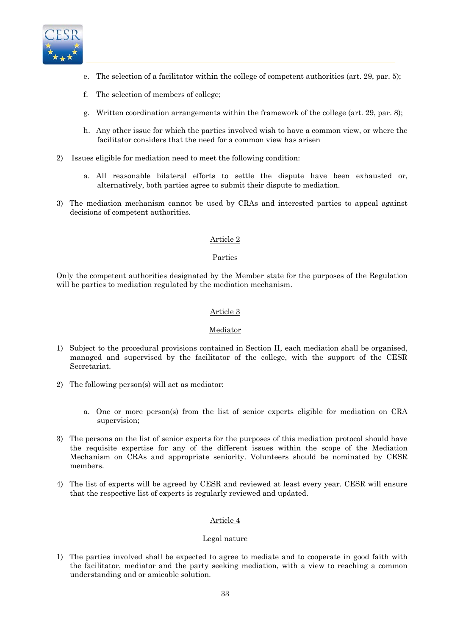

- e. The selection of a facilitator within the college of competent authorities (art. 29, par. 5);
- f. The selection of members of college;
- g. Written coordination arrangements within the framework of the college (art. 29, par. 8);
- h. Any other issue for which the parties involved wish to have a common view, or where the facilitator considers that the need for a common view has arisen
- 2) Issues eligible for mediation need to meet the following condition:
	- a. All reasonable bilateral efforts to settle the dispute have been exhausted or, alternatively, both parties agree to submit their dispute to mediation.
- 3) The mediation mechanism cannot be used by CRAs and interested parties to appeal against decisions of competent authorities.

# Article 2

### Parties

 Only the competent authorities designated by the Member state for the purposes of the Regulation will be parties to mediation regulated by the mediation mechanism.

# Article 3

#### Mediator

- 1) Subject to the procedural provisions contained in Section II, each mediation shall be organised, managed and supervised by the facilitator of the college, with the support of the CESR Secretariat.
- 2) The following person(s) will act as mediator:
	- a. One or more person(s) from the list of senior experts eligible for mediation on CRA supervision;
- 3) The persons on the list of senior experts for the purposes of this mediation protocol should have the requisite expertise for any of the different issues within the scope of the Mediation Mechanism on CRAs and appropriate seniority. Volunteers should be nominated by CESR members.
- 4) The list of experts will be agreed by CESR and reviewed at least every year. CESR will ensure that the respective list of experts is regularly reviewed and updated.

# Article 4

#### Legal nature

1) The parties involved shall be expected to agree to mediate and to cooperate in good faith with the facilitator, mediator and the party seeking mediation, with a view to reaching a common understanding and or amicable solution.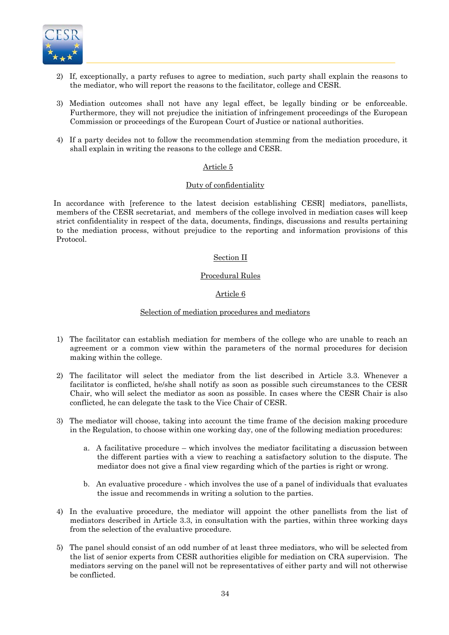

- 2) If, exceptionally, a party refuses to agree to mediation, such party shall explain the reasons to the mediator, who will report the reasons to the facilitator, college and CESR.
- 3) Mediation outcomes shall not have any legal effect, be legally binding or be enforceable. Furthermore, they will not prejudice the initiation of infringement proceedings of the European Commission or proceedings of the European Court of Justice or national authorities.
- 4) If a party decides not to follow the recommendation stemming from the mediation procedure, it shall explain in writing the reasons to the college and CESR.

### Article 5

#### Duty of confidentiality

In accordance with [reference to the latest decision establishing CESR] mediators, panellists, members of the CESR secretariat, and members of the college involved in mediation cases will keep strict confidentiality in respect of the data, documents, findings, discussions and results pertaining to the mediation process, without prejudice to the reporting and information provisions of this Protocol.

### Section II

### Procedural Rules

# Article 6

### Selection of mediation procedures and mediators

- 1) The facilitator can establish mediation for members of the college who are unable to reach an agreement or a common view within the parameters of the normal procedures for decision making within the college.
- 2) The facilitator will select the mediator from the list described in Article 3.3. Whenever a facilitator is conflicted, he/she shall notify as soon as possible such circumstances to the CESR Chair, who will select the mediator as soon as possible. In cases where the CESR Chair is also conflicted, he can delegate the task to the Vice Chair of CESR.
- 3) The mediator will choose, taking into account the time frame of the decision making procedure in the Regulation, to choose within one working day, one of the following mediation procedures:
	- a. A facilitative procedure which involves the mediator facilitating a discussion between the different parties with a view to reaching a satisfactory solution to the dispute. The mediator does not give a final view regarding which of the parties is right or wrong.
	- b. An evaluative procedure which involves the use of a panel of individuals that evaluates the issue and recommends in writing a solution to the parties.
- 4) In the evaluative procedure, the mediator will appoint the other panellists from the list of mediators described in Article 3.3, in consultation with the parties, within three working days from the selection of the evaluative procedure.
- 5) The panel should consist of an odd number of at least three mediators, who will be selected from the list of senior experts from CESR authorities eligible for mediation on CRA supervision. The mediators serving on the panel will not be representatives of either party and will not otherwise be conflicted.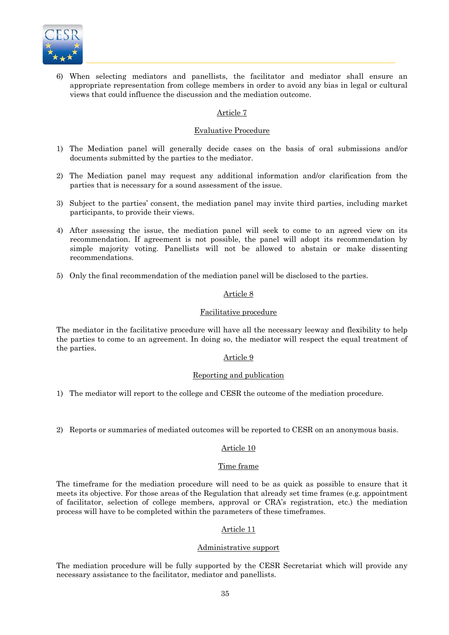

6) When selecting mediators and panellists, the facilitator and mediator shall ensure an appropriate representation from college members in order to avoid any bias in legal or cultural views that could influence the discussion and the mediation outcome.

# Article 7

#### Evaluative Procedure

- 1) The Mediation panel will generally decide cases on the basis of oral submissions and/or documents submitted by the parties to the mediator.
- 2) The Mediation panel may request any additional information and/or clarification from the parties that is necessary for a sound assessment of the issue.
- 3) Subject to the parties' consent, the mediation panel may invite third parties, including market participants, to provide their views.
- 4) After assessing the issue, the mediation panel will seek to come to an agreed view on its recommendation. If agreement is not possible, the panel will adopt its recommendation by simple majority voting. Panellists will not be allowed to abstain or make dissenting recommendations.
- 5) Only the final recommendation of the mediation panel will be disclosed to the parties.

#### Article 8

### Facilitative procedure

The mediator in the facilitative procedure will have all the necessary leeway and flexibility to help the parties to come to an agreement. In doing so, the mediator will respect the equal treatment of the parties.

#### Article 9

#### Reporting and publication

1) The mediator will report to the college and CESR the outcome of the mediation procedure.

2) Reports or summaries of mediated outcomes will be reported to CESR on an anonymous basis.

#### Article 10

#### Time frame

The timeframe for the mediation procedure will need to be as quick as possible to ensure that it meets its objective. For those areas of the Regulation that already set time frames (e.g. appointment of facilitator, selection of college members, approval or CRA's registration, etc.) the mediation process will have to be completed within the parameters of these timeframes.

# Article 11

#### Administrative support

The mediation procedure will be fully supported by the CESR Secretariat which will provide any necessary assistance to the facilitator, mediator and panellists.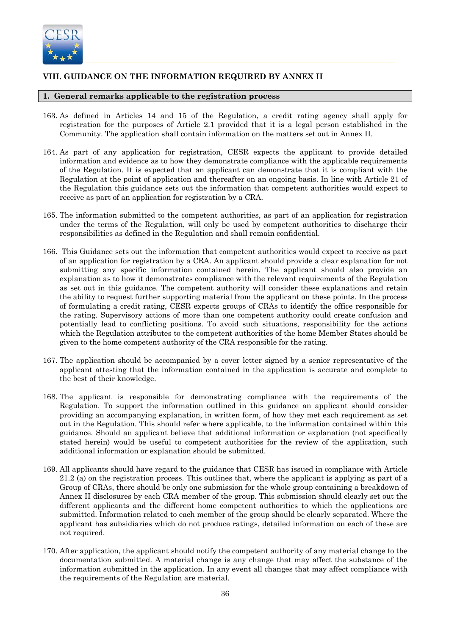

# **VIII. GUIDANCE ON THE INFORMATION REQUIRED BY ANNEX II**

# **1. General remarks applicable to the registration process**

- 163. As defined in Articles 14 and 15 of the Regulation, a credit rating agency shall apply for registration for the purposes of Article 2.1 provided that it is a legal person established in the Community. The application shall contain information on the matters set out in Annex II.
- 164. As part of any application for registration, CESR expects the applicant to provide detailed information and evidence as to how they demonstrate compliance with the applicable requirements of the Regulation. It is expected that an applicant can demonstrate that it is compliant with the Regulation at the point of application and thereafter on an ongoing basis. In line with Article 21 of the Regulation this guidance sets out the information that competent authorities would expect to receive as part of an application for registration by a CRA.
- 165. The information submitted to the competent authorities, as part of an application for registration under the terms of the Regulation, will only be used by competent authorities to discharge their responsibilities as defined in the Regulation and shall remain confidential.
- 166. This Guidance sets out the information that competent authorities would expect to receive as part of an application for registration by a CRA. An applicant should provide a clear explanation for not submitting any specific information contained herein. The applicant should also provide an explanation as to how it demonstrates compliance with the relevant requirements of the Regulation as set out in this guidance. The competent authority will consider these explanations and retain the ability to request further supporting material from the applicant on these points. In the process of formulating a credit rating, CESR expects groups of CRAs to identify the office responsible for the rating. Supervisory actions of more than one competent authority could create confusion and potentially lead to conflicting positions. To avoid such situations, responsibility for the actions which the Regulation attributes to the competent authorities of the home Member States should be given to the home competent authority of the CRA responsible for the rating.
- 167. The application should be accompanied by a cover letter signed by a senior representative of the applicant attesting that the information contained in the application is accurate and complete to the best of their knowledge.
- 168. The applicant is responsible for demonstrating compliance with the requirements of the Regulation. To support the information outlined in this guidance an applicant should consider providing an accompanying explanation, in written form, of how they met each requirement as set out in the Regulation. This should refer where applicable, to the information contained within this guidance. Should an applicant believe that additional information or explanation (not specifically stated herein) would be useful to competent authorities for the review of the application, such additional information or explanation should be submitted.
- 169. All applicants should have regard to the guidance that CESR has issued in compliance with Article 21.2 (a) on the registration process. This outlines that, where the applicant is applying as part of a Group of CRAs, there should be only one submission for the whole group containing a breakdown of Annex II disclosures by each CRA member of the group. This submission should clearly set out the different applicants and the different home competent authorities to which the applications are submitted. Information related to each member of the group should be clearly separated. Where the applicant has subsidiaries which do not produce ratings, detailed information on each of these are not required.
- 170. After application, the applicant should notify the competent authority of any material change to the documentation submitted. A material change is any change that may affect the substance of the information submitted in the application. In any event all changes that may affect compliance with the requirements of the Regulation are material.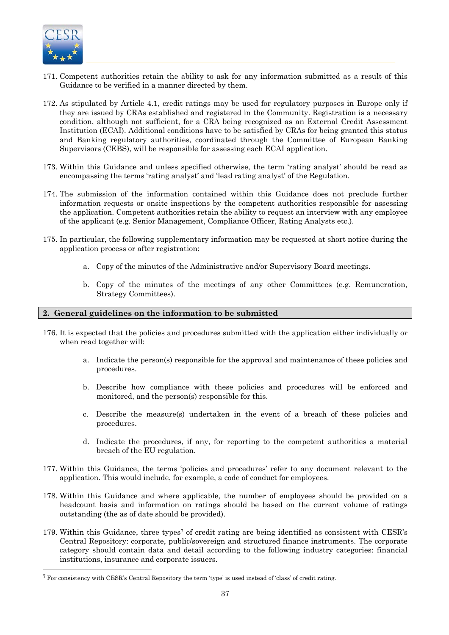

l

- 171. Competent authorities retain the ability to ask for any information submitted as a result of this Guidance to be verified in a manner directed by them.
- 172. As stipulated by Article 4.1, credit ratings may be used for regulatory purposes in Europe only if they are issued by CRAs established and registered in the Community. Registration is a necessary condition, although not sufficient, for a CRA being recognized as an External Credit Assessment Institution (ECAI). Additional conditions have to be satisfied by CRAs for being granted this status and Banking regulatory authorities, coordinated through the Committee of European Banking Supervisors (CEBS), will be responsible for assessing each ECAI application.
- 173. Within this Guidance and unless specified otherwise, the term 'rating analyst' should be read as encompassing the terms 'rating analyst' and 'lead rating analyst' of the Regulation.
- 174. The submission of the information contained within this Guidance does not preclude further information requests or onsite inspections by the competent authorities responsible for assessing the application. Competent authorities retain the ability to request an interview with any employee of the applicant (e.g. Senior Management, Compliance Officer, Rating Analysts etc.).
- 175. In particular, the following supplementary information may be requested at short notice during the application process or after registration:
	- a. Copy of the minutes of the Administrative and/or Supervisory Board meetings.
	- b. Copy of the minutes of the meetings of any other Committees (e.g. Remuneration, Strategy Committees).

#### **2. General guidelines on the information to be submitted**

- 176. It is expected that the policies and procedures submitted with the application either individually or when read together will:
	- a. Indicate the person(s) responsible for the approval and maintenance of these policies and procedures.
	- b. Describe how compliance with these policies and procedures will be enforced and monitored, and the person(s) responsible for this.
	- c. Describe the measure(s) undertaken in the event of a breach of these policies and procedures.
	- d. Indicate the procedures, if any, for reporting to the competent authorities a material breach of the EU regulation.
- 177. Within this Guidance, the terms 'policies and procedures' refer to any document relevant to the application. This would include, for example, a code of conduct for employees.
- 178. Within this Guidance and where applicable, the number of employees should be provided on a headcount basis and information on ratings should be based on the current volume of ratings outstanding (the as of date should be provided).
- 179. Within this Guidance, three types7 of credit rating are being identified as consistent with CESR's Central Repository: corporate, public/sovereign and structured finance instruments. The corporate category should contain data and detail according to the following industry categories: financial institutions, insurance and corporate issuers.

<sup>7</sup> For consistency with CESR's Central Repository the term 'type' is used instead of 'class' of credit rating.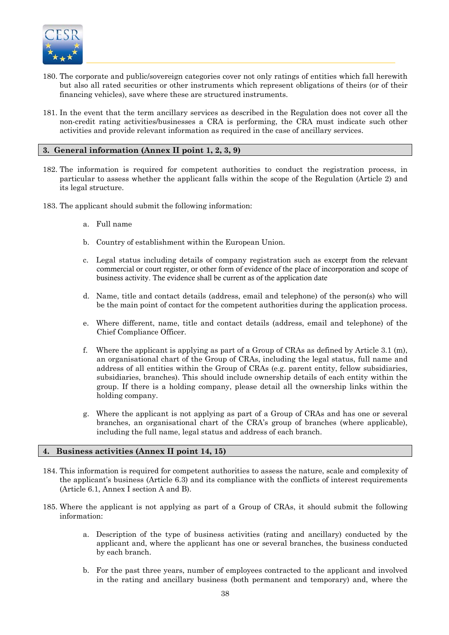

- 180. The corporate and public/sovereign categories cover not only ratings of entities which fall herewith but also all rated securities or other instruments which represent obligations of theirs (or of their financing vehicles), save where these are structured instruments.
- 181. In the event that the term ancillary services as described in the Regulation does not cover all the non-credit rating activities/businesses a CRA is performing, the CRA must indicate such other activities and provide relevant information as required in the case of ancillary services.

# **3. General information (Annex II point 1, 2, 3, 9)**

- 182. The information is required for competent authorities to conduct the registration process, in particular to assess whether the applicant falls within the scope of the Regulation (Article 2) and its legal structure.
- 183. The applicant should submit the following information:
	- a. Full name
	- b. Country of establishment within the European Union.
	- c. Legal status including details of company registration such as excerpt from the relevant commercial or court register, or other form of evidence of the place of incorporation and scope of business activity. The evidence shall be current as of the application date
	- d. Name, title and contact details (address, email and telephone) of the person(s) who will be the main point of contact for the competent authorities during the application process.
	- e. Where different, name, title and contact details (address, email and telephone) of the Chief Compliance Officer.
	- f. Where the applicant is applying as part of a Group of CRAs as defined by Article 3.1 (m), an organisational chart of the Group of CRAs, including the legal status, full name and address of all entities within the Group of CRAs (e.g. parent entity, fellow subsidiaries, subsidiaries, branches). This should include ownership details of each entity within the group. If there is a holding company, please detail all the ownership links within the holding company.
	- g. Where the applicant is not applying as part of a Group of CRAs and has one or several branches, an organisational chart of the CRA's group of branches (where applicable), including the full name, legal status and address of each branch.

#### **4. Business activities (Annex II point 14, 15)**

- 184. This information is required for competent authorities to assess the nature, scale and complexity of the applicant's business (Article 6.3) and its compliance with the conflicts of interest requirements (Article 6.1, Annex I section A and B).
- 185. Where the applicant is not applying as part of a Group of CRAs, it should submit the following information:
	- a. Description of the type of business activities (rating and ancillary) conducted by the applicant and, where the applicant has one or several branches, the business conducted by each branch.
	- b. For the past three years, number of employees contracted to the applicant and involved in the rating and ancillary business (both permanent and temporary) and, where the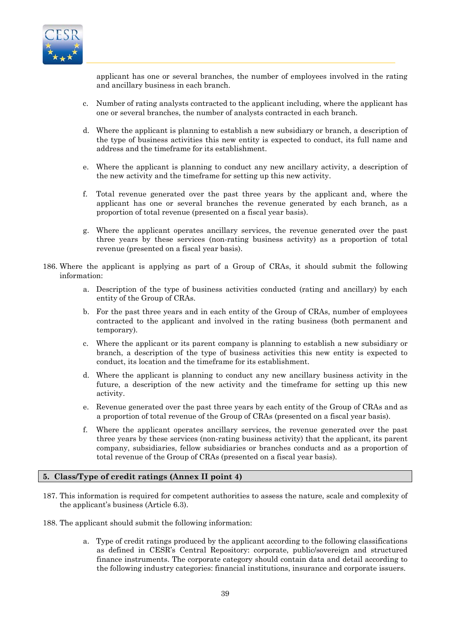

applicant has one or several branches, the number of employees involved in the rating and ancillary business in each branch.

- c. Number of rating analysts contracted to the applicant including, where the applicant has one or several branches, the number of analysts contracted in each branch.
- d. Where the applicant is planning to establish a new subsidiary or branch, a description of the type of business activities this new entity is expected to conduct, its full name and address and the timeframe for its establishment.
- e. Where the applicant is planning to conduct any new ancillary activity, a description of the new activity and the timeframe for setting up this new activity.
- f. Total revenue generated over the past three years by the applicant and, where the applicant has one or several branches the revenue generated by each branch, as a proportion of total revenue (presented on a fiscal year basis).
- g. Where the applicant operates ancillary services, the revenue generated over the past three years by these services (non-rating business activity) as a proportion of total revenue (presented on a fiscal year basis).
- 186. Where the applicant is applying as part of a Group of CRAs, it should submit the following information:
	- a. Description of the type of business activities conducted (rating and ancillary) by each entity of the Group of CRAs.
	- b. For the past three years and in each entity of the Group of CRAs, number of employees contracted to the applicant and involved in the rating business (both permanent and temporary).
	- c. Where the applicant or its parent company is planning to establish a new subsidiary or branch, a description of the type of business activities this new entity is expected to conduct, its location and the timeframe for its establishment.
	- d. Where the applicant is planning to conduct any new ancillary business activity in the future, a description of the new activity and the timeframe for setting up this new activity.
	- e. Revenue generated over the past three years by each entity of the Group of CRAs and as a proportion of total revenue of the Group of CRAs (presented on a fiscal year basis).
	- f. Where the applicant operates ancillary services, the revenue generated over the past three years by these services (non-rating business activity) that the applicant, its parent company, subsidiaries, fellow subsidiaries or branches conducts and as a proportion of total revenue of the Group of CRAs (presented on a fiscal year basis).

#### **5. Class/Type of credit ratings (Annex II point 4)**

- 187. This information is required for competent authorities to assess the nature, scale and complexity of the applicant's business (Article 6.3).
- 188. The applicant should submit the following information:
	- a. Type of credit ratings produced by the applicant according to the following classifications as defined in CESR's Central Repository: corporate, public/sovereign and structured finance instruments. The corporate category should contain data and detail according to the following industry categories: financial institutions, insurance and corporate issuers.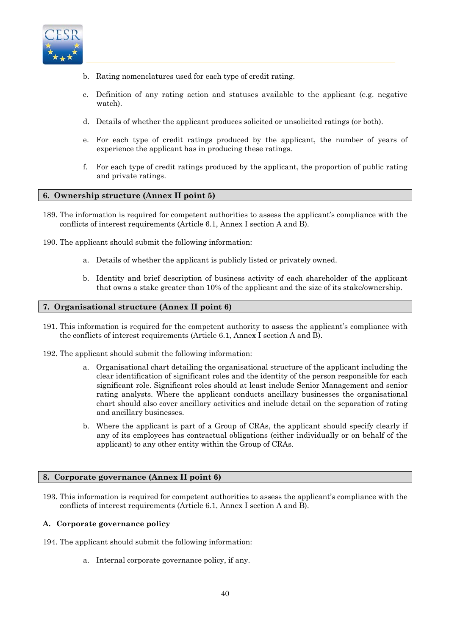

- b. Rating nomenclatures used for each type of credit rating.
- Definition of any rating action and statuses available to the applicant (e.g. negative watch).
- d. Details of whether the applicant produces solicited or unsolicited ratings (or both).
- e. For each type of credit ratings produced by the applicant, the number of years of experience the applicant has in producing these ratings.
- f. For each type of credit ratings produced by the applicant, the proportion of public rating and private ratings.

### **6. Ownership structure (Annex II point 5)**

- 189. The information is required for competent authorities to assess the applicant's compliance with the conflicts of interest requirements (Article 6.1, Annex I section A and B).
- 190. The applicant should submit the following information:
	- a. Details of whether the applicant is publicly listed or privately owned.
	- b. Identity and brief description of business activity of each shareholder of the applicant that owns a stake greater than 10% of the applicant and the size of its stake/ownership.

#### **7. Organisational structure (Annex II point 6)**

- 191. This information is required for the competent authority to assess the applicant's compliance with the conflicts of interest requirements (Article 6.1, Annex I section A and B).
- 192. The applicant should submit the following information:
	- a. Organisational chart detailing the organisational structure of the applicant including the clear identification of significant roles and the identity of the person responsible for each significant role. Significant roles should at least include Senior Management and senior rating analysts. Where the applicant conducts ancillary businesses the organisational chart should also cover ancillary activities and include detail on the separation of rating and ancillary businesses.
	- b. Where the applicant is part of a Group of CRAs, the applicant should specify clearly if any of its employees has contractual obligations (either individually or on behalf of the applicant) to any other entity within the Group of CRAs.

#### **8. Corporate governance (Annex II point 6)**

193. This information is required for competent authorities to assess the applicant's compliance with the conflicts of interest requirements (Article 6.1, Annex I section A and B).

#### **A. Corporate governance policy**

- 194. The applicant should submit the following information:
	- a. Internal corporate governance policy, if any.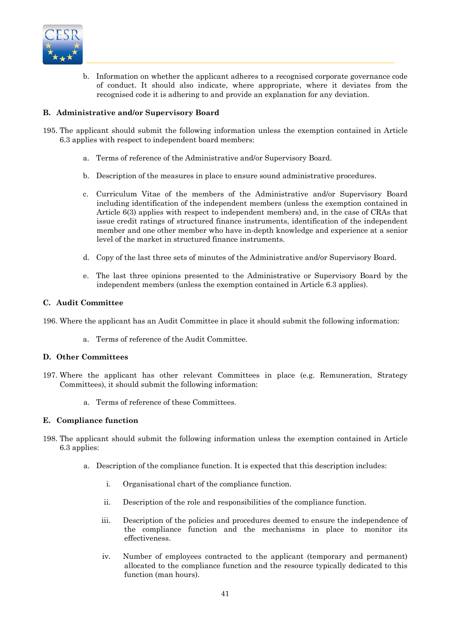

b. Information on whether the applicant adheres to a recognised corporate governance code of conduct. It should also indicate, where appropriate, where it deviates from the recognised code it is adhering to and provide an explanation for any deviation.

# **B. Administrative and/or Supervisory Board**

- 195. The applicant should submit the following information unless the exemption contained in Article 6.3 applies with respect to independent board members:
	- a. Terms of reference of the Administrative and/or Supervisory Board.
	- b. Description of the measures in place to ensure sound administrative procedures.
	- c. Curriculum Vitae of the members of the Administrative and/or Supervisory Board including identification of the independent members (unless the exemption contained in Article 6(3) applies with respect to independent members) and, in the case of CRAs that issue credit ratings of structured finance instruments, identification of the independent member and one other member who have in-depth knowledge and experience at a senior level of the market in structured finance instruments.
	- d. Copy of the last three sets of minutes of the Administrative and/or Supervisory Board.
	- e. The last three opinions presented to the Administrative or Supervisory Board by the independent members (unless the exemption contained in Article 6.3 applies).

# **C. Audit Committee**

196. Where the applicant has an Audit Committee in place it should submit the following information:

a. Terms of reference of the Audit Committee.

# **D. Other Committees**

- 197. Where the applicant has other relevant Committees in place (e.g. Remuneration, Strategy Committees), it should submit the following information:
	- a. Terms of reference of these Committees.

# **E. Compliance function**

- 198. The applicant should submit the following information unless the exemption contained in Article 6.3 applies:
	- a. Description of the compliance function. It is expected that this description includes:
		- i. Organisational chart of the compliance function.
		- ii. Description of the role and responsibilities of the compliance function.
		- iii. Description of the policies and procedures deemed to ensure the independence of the compliance function and the mechanisms in place to monitor its effectiveness.
		- iv. Number of employees contracted to the applicant (temporary and permanent) allocated to the compliance function and the resource typically dedicated to this function (man hours).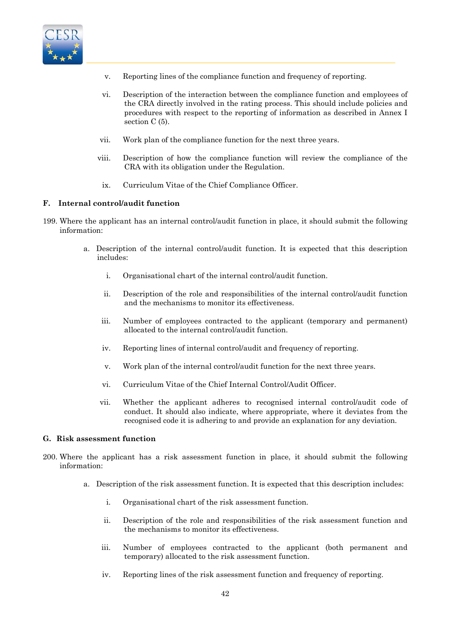

- v. Reporting lines of the compliance function and frequency of reporting.
- vi. Description of the interaction between the compliance function and employees of the CRA directly involved in the rating process. This should include policies and procedures with respect to the reporting of information as described in Annex I section C (5).
- vii. Work plan of the compliance function for the next three years.
- viii. Description of how the compliance function will review the compliance of the CRA with its obligation under the Regulation.
	- ix. Curriculum Vitae of the Chief Compliance Officer.

# **F. Internal control/audit function**

- 199. Where the applicant has an internal control/audit function in place, it should submit the following information:
	- a. Description of the internal control/audit function. It is expected that this description includes:
		- i. Organisational chart of the internal control/audit function.
		- ii. Description of the role and responsibilities of the internal control/audit function and the mechanisms to monitor its effectiveness.
		- iii. Number of employees contracted to the applicant (temporary and permanent) allocated to the internal control/audit function.
		- iv. Reporting lines of internal control/audit and frequency of reporting.
		- v. Work plan of the internal control/audit function for the next three years.
		- vi. Curriculum Vitae of the Chief Internal Control/Audit Officer.
		- vii. Whether the applicant adheres to recognised internal control/audit code of conduct. It should also indicate, where appropriate, where it deviates from the recognised code it is adhering to and provide an explanation for any deviation.

#### **G. Risk assessment function**

- 200. Where the applicant has a risk assessment function in place, it should submit the following information:
	- a. Description of the risk assessment function. It is expected that this description includes:
		- i. Organisational chart of the risk assessment function.
		- ii. Description of the role and responsibilities of the risk assessment function and the mechanisms to monitor its effectiveness.
		- iii. Number of employees contracted to the applicant (both permanent and temporary) allocated to the risk assessment function.
		- iv. Reporting lines of the risk assessment function and frequency of reporting.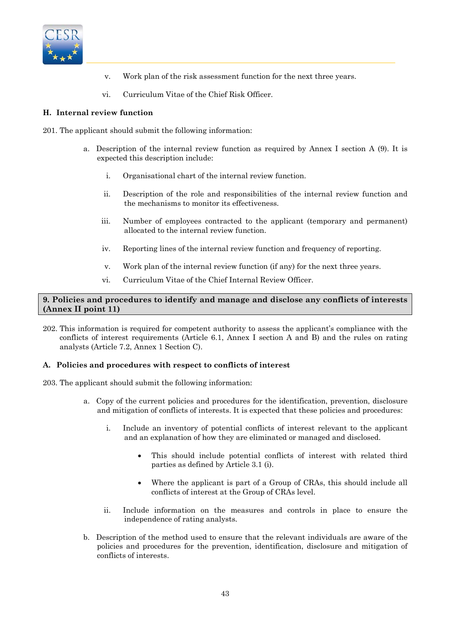

- v. Work plan of the risk assessment function for the next three years.
- vi. Curriculum Vitae of the Chief Risk Officer.

# **H. Internal review function**

- 201. The applicant should submit the following information:
	- a. Description of the internal review function as required by Annex I section A (9). It is expected this description include:
		- i. Organisational chart of the internal review function.
		- ii. Description of the role and responsibilities of the internal review function and the mechanisms to monitor its effectiveness.
		- iii. Number of employees contracted to the applicant (temporary and permanent) allocated to the internal review function.
		- iv. Reporting lines of the internal review function and frequency of reporting.
		- v. Work plan of the internal review function (if any) for the next three years.
		- vi. Curriculum Vitae of the Chief Internal Review Officer.

# **9. Policies and procedures to identify and manage and disclose any conflicts of interests (Annex II point 11)**

202. This information is required for competent authority to assess the applicant's compliance with the conflicts of interest requirements (Article 6.1, Annex I section A and B) and the rules on rating analysts (Article 7.2, Annex 1 Section C).

#### **A. Policies and procedures with respect to conflicts of interest**

- 203. The applicant should submit the following information:
	- a. Copy of the current policies and procedures for the identification, prevention, disclosure and mitigation of conflicts of interests. It is expected that these policies and procedures:
		- i. Include an inventory of potential conflicts of interest relevant to the applicant and an explanation of how they are eliminated or managed and disclosed.
			- This should include potential conflicts of interest with related third parties as defined by Article 3.1 (i).
			- Where the applicant is part of a Group of CRAs, this should include all conflicts of interest at the Group of CRAs level.
		- ii. Include information on the measures and controls in place to ensure the independence of rating analysts.
	- b. Description of the method used to ensure that the relevant individuals are aware of the policies and procedures for the prevention, identification, disclosure and mitigation of conflicts of interests.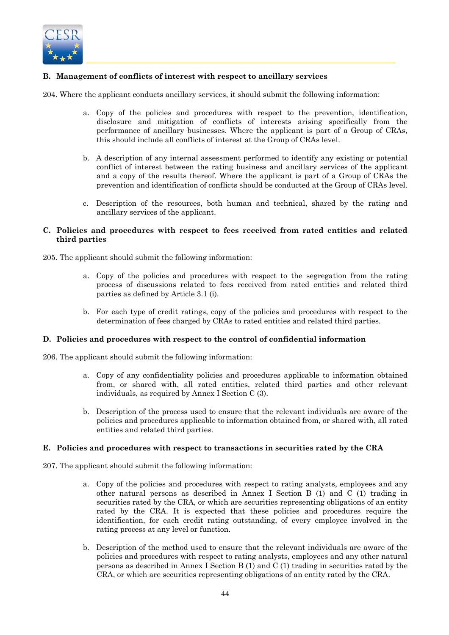

# **B. Management of conflicts of interest with respect to ancillary services**

204. Where the applicant conducts ancillary services, it should submit the following information:

- a. Copy of the policies and procedures with respect to the prevention, identification, disclosure and mitigation of conflicts of interests arising specifically from the performance of ancillary businesses. Where the applicant is part of a Group of CRAs, this should include all conflicts of interest at the Group of CRAs level.
- b. A description of any internal assessment performed to identify any existing or potential conflict of interest between the rating business and ancillary services of the applicant and a copy of the results thereof. Where the applicant is part of a Group of CRAs the prevention and identification of conflicts should be conducted at the Group of CRAs level.
- c. Description of the resources, both human and technical, shared by the rating and ancillary services of the applicant.

### **C. Policies and procedures with respect to fees received from rated entities and related third parties**

205. The applicant should submit the following information:

- a. Copy of the policies and procedures with respect to the segregation from the rating process of discussions related to fees received from rated entities and related third parties as defined by Article 3.1 (i).
- b. For each type of credit ratings, copy of the policies and procedures with respect to the determination of fees charged by CRAs to rated entities and related third parties.

### **D. Policies and procedures with respect to the control of confidential information**

206. The applicant should submit the following information:

- a. Copy of any confidentiality policies and procedures applicable to information obtained from, or shared with, all rated entities, related third parties and other relevant individuals, as required by Annex I Section C (3).
- b. Description of the process used to ensure that the relevant individuals are aware of the policies and procedures applicable to information obtained from, or shared with, all rated entities and related third parties.

#### **E. Policies and procedures with respect to transactions in securities rated by the CRA**

207. The applicant should submit the following information:

- a. Copy of the policies and procedures with respect to rating analysts, employees and any other natural persons as described in Annex I Section B (1) and C (1) trading in securities rated by the CRA, or which are securities representing obligations of an entity rated by the CRA. It is expected that these policies and procedures require the identification, for each credit rating outstanding, of every employee involved in the rating process at any level or function.
- b. Description of the method used to ensure that the relevant individuals are aware of the policies and procedures with respect to rating analysts, employees and any other natural persons as described in Annex I Section B (1) and C (1) trading in securities rated by the CRA, or which are securities representing obligations of an entity rated by the CRA.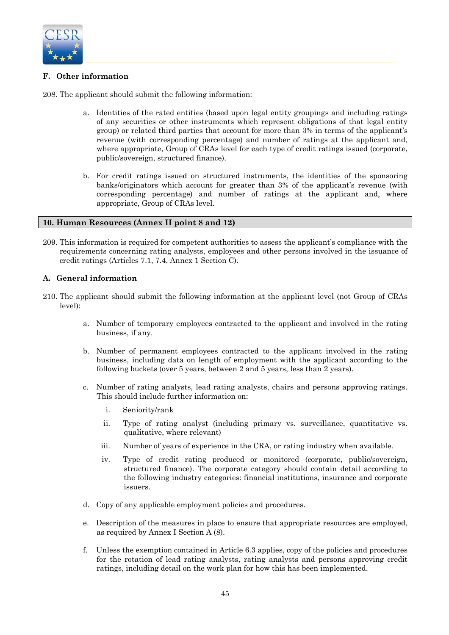

# **F. Other information**

208. The applicant should submit the following information:

- a. Identities of the rated entities (based upon legal entity groupings and including ratings of any securities or other instruments which represent obligations of that legal entity group) or related third parties that account for more than 3% in terms of the applicant's revenue (with corresponding percentage) and number of ratings at the applicant and, where appropriate, Group of CRAs level for each type of credit ratings issued (corporate, public/sovereign, structured finance).
- b. For credit ratings issued on structured instruments, the identities of the sponsoring banks/originators which account for greater than 3% of the applicant's revenue (with corresponding percentage) and number of ratings at the applicant and, where appropriate, Group of CRAs level.

# **10. Human Resources (Annex II point 8 and 12)**

209. This information is required for competent authorities to assess the applicant's compliance with the requirements concerning rating analysts, employees and other persons involved in the issuance of credit ratings (Articles 7.1, 7.4, Annex 1 Section C).

# **A. General information**

- 210. The applicant should submit the following information at the applicant level (not Group of CRAs level):
	- a. Number of temporary employees contracted to the applicant and involved in the rating business, if any.
	- b. Number of permanent employees contracted to the applicant involved in the rating business, including data on length of employment with the applicant according to the following buckets (over 5 years, between 2 and 5 years, less than 2 years).
	- c. Number of rating analysts, lead rating analysts, chairs and persons approving ratings. This should include further information on:
		- i. Seniority/rank
		- ii. Type of rating analyst (including primary vs. surveillance, quantitative vs. qualitative, where relevant)
		- iii. Number of years of experience in the CRA, or rating industry when available.
		- iv. Type of credit rating produced or monitored (corporate, public/sovereign, structured finance). The corporate category should contain detail according to the following industry categories: financial institutions, insurance and corporate issuers.
	- d. Copy of any applicable employment policies and procedures.
	- e. Description of the measures in place to ensure that appropriate resources are employed, as required by Annex I Section A (8).
	- f. Unless the exemption contained in Article 6.3 applies, copy of the policies and procedures for the rotation of lead rating analysts, rating analysts and persons approving credit ratings, including detail on the work plan for how this has been implemented.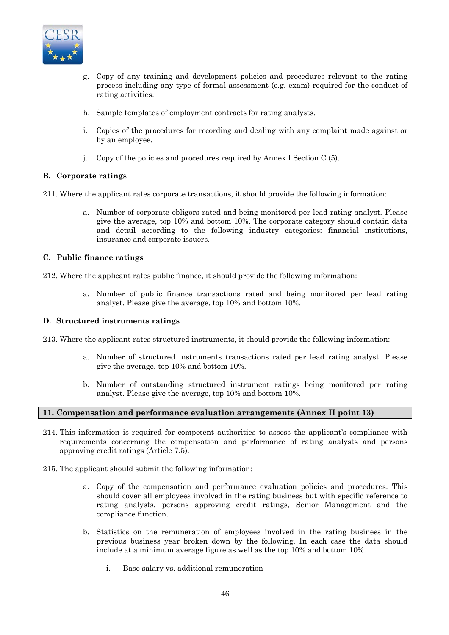

- g. Copy of any training and development policies and procedures relevant to the rating process including any type of formal assessment (e.g. exam) required for the conduct of rating activities.
- h. Sample templates of employment contracts for rating analysts.
- i. Copies of the procedures for recording and dealing with any complaint made against or by an employee.
- j. Copy of the policies and procedures required by Annex I Section C (5).

# **B. Corporate ratings**

- 211. Where the applicant rates corporate transactions, it should provide the following information:
	- a. Number of corporate obligors rated and being monitored per lead rating analyst. Please give the average, top 10% and bottom 10%. The corporate category should contain data and detail according to the following industry categories: financial institutions, insurance and corporate issuers.

# **C. Public finance ratings**

212. Where the applicant rates public finance, it should provide the following information:

a. Number of public finance transactions rated and being monitored per lead rating analyst. Please give the average, top 10% and bottom 10%.

# **D. Structured instruments ratings**

213. Where the applicant rates structured instruments, it should provide the following information:

- a. Number of structured instruments transactions rated per lead rating analyst. Please give the average, top 10% and bottom 10%*.*
- b. Number of outstanding structured instrument ratings being monitored per rating analyst. Please give the average, top 10% and bottom 10%*.*

# **11. Compensation and performance evaluation arrangements (Annex II point 13)**

- 214. This information is required for competent authorities to assess the applicant's compliance with requirements concerning the compensation and performance of rating analysts and persons approving credit ratings (Article 7.5).
- 215. The applicant should submit the following information:
	- a. Copy of the compensation and performance evaluation policies and procedures. This should cover all employees involved in the rating business but with specific reference to rating analysts, persons approving credit ratings, Senior Management and the compliance function.
	- b. Statistics on the remuneration of employees involved in the rating business in the previous business year broken down by the following. In each case the data should include at a minimum average figure as well as the top 10% and bottom 10%.
		- i. Base salary vs. additional remuneration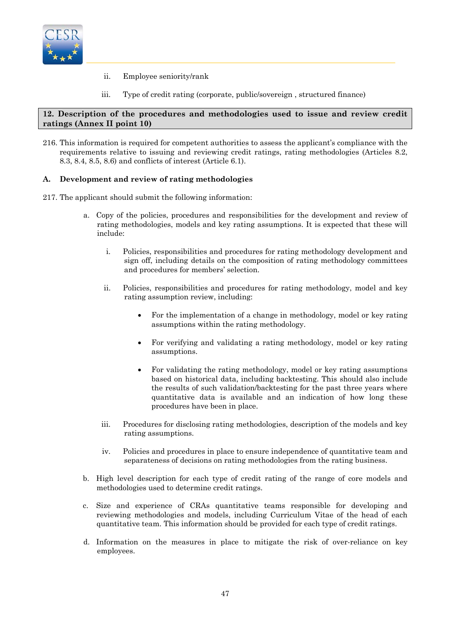

- ii. Employee seniority/rank
- iii. Type of credit rating (corporate, public/sovereign , structured finance)

# **12. Description of the procedures and methodologies used to issue and review credit ratings (Annex II point 10)**

216. This information is required for competent authorities to assess the applicant's compliance with the requirements relative to issuing and reviewing credit ratings, rating methodologies (Articles 8.2, 8.3, 8.4, 8.5, 8.6) and conflicts of interest (Article 6.1).

# **A. Development and review of rating methodologies**

- 217. The applicant should submit the following information:
	- a. Copy of the policies, procedures and responsibilities for the development and review of rating methodologies, models and key rating assumptions. It is expected that these will include:
		- i. Policies, responsibilities and procedures for rating methodology development and sign off, including details on the composition of rating methodology committees and procedures for members' selection.
		- ii. Policies, responsibilities and procedures for rating methodology, model and key rating assumption review, including:
			- For the implementation of a change in methodology, model or key rating assumptions within the rating methodology.
			- For verifying and validating a rating methodology, model or key rating assumptions.
			- For validating the rating methodology, model or key rating assumptions based on historical data, including backtesting. This should also include the results of such validation/backtesting for the past three years where quantitative data is available and an indication of how long these procedures have been in place.
		- iii. Procedures for disclosing rating methodologies, description of the models and key rating assumptions.
		- iv. Policies and procedures in place to ensure independence of quantitative team and separateness of decisions on rating methodologies from the rating business.
	- b. High level description for each type of credit rating of the range of core models and methodologies used to determine credit ratings.
	- c. Size and experience of CRAs quantitative teams responsible for developing and reviewing methodologies and models, including Curriculum Vitae of the head of each quantitative team. This information should be provided for each type of credit ratings.
	- d. Information on the measures in place to mitigate the risk of over-reliance on key employees.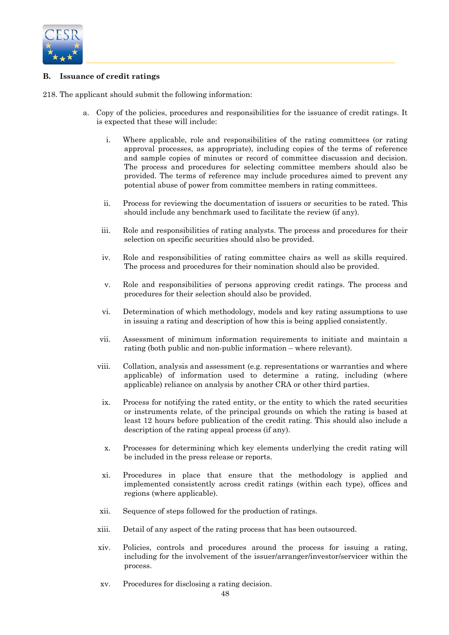

# **B. Issuance of credit ratings**

218. The applicant should submit the following information:

- a. Copy of the policies, procedures and responsibilities for the issuance of credit ratings. It is expected that these will include:
	- i. Where applicable, role and responsibilities of the rating committees (or rating approval processes, as appropriate), including copies of the terms of reference and sample copies of minutes or record of committee discussion and decision. The process and procedures for selecting committee members should also be provided. The terms of reference may include procedures aimed to prevent any potential abuse of power from committee members in rating committees.
	- ii. Process for reviewing the documentation of issuers or securities to be rated. This should include any benchmark used to facilitate the review (if any).
	- iii. Role and responsibilities of rating analysts. The process and procedures for their selection on specific securities should also be provided.
	- iv. Role and responsibilities of rating committee chairs as well as skills required. The process and procedures for their nomination should also be provided.
	- v. Role and responsibilities of persons approving credit ratings. The process and procedures for their selection should also be provided.
	- vi. Determination of which methodology, models and key rating assumptions to use in issuing a rating and description of how this is being applied consistently.
	- vii. Assessment of minimum information requirements to initiate and maintain a rating (both public and non-public information – where relevant).
	- viii. Collation, analysis and assessment (e.g. representations or warranties and where applicable) of information used to determine a rating, including (where applicable) reliance on analysis by another CRA or other third parties.
	- ix. Process for notifying the rated entity, or the entity to which the rated securities or instruments relate, of the principal grounds on which the rating is based at least 12 hours before publication of the credit rating. This should also include a description of the rating appeal process (if any).
	- x. Processes for determining which key elements underlying the credit rating will be included in the press release or reports.
	- xi. Procedures in place that ensure that the methodology is applied and implemented consistently across credit ratings (within each type), offices and regions (where applicable).
	- xii. Sequence of steps followed for the production of ratings.
	- xiii. Detail of any aspect of the rating process that has been outsourced.
	- xiv. Policies, controls and procedures around the process for issuing a rating, including for the involvement of the issuer/arranger/investor/servicer within the process.
	- xv. Procedures for disclosing a rating decision.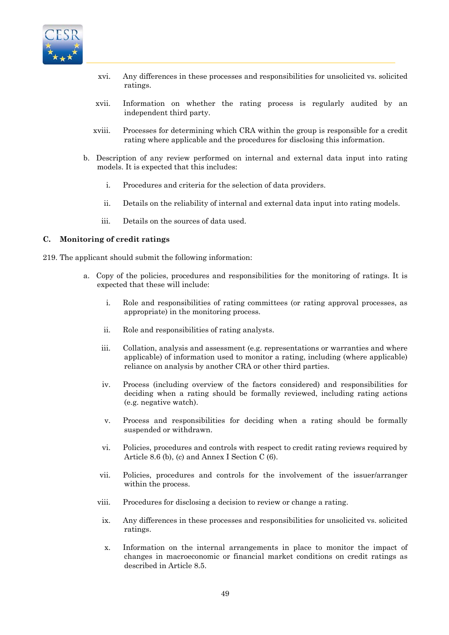

- xvi. Any differences in these processes and responsibilities for unsolicited vs. solicited ratings.
- xvii. Information on whether the rating process is regularly audited by an independent third party.
- xviii. Processes for determining which CRA within the group is responsible for a credit rating where applicable and the procedures for disclosing this information.
- b. Description of any review performed on internal and external data input into rating models. It is expected that this includes:
	- i. Procedures and criteria for the selection of data providers.
	- ii. Details on the reliability of internal and external data input into rating models.
	- iii. Details on the sources of data used.

### **C. Monitoring of credit ratings**

- 219. The applicant should submit the following information:
	- a. Copy of the policies, procedures and responsibilities for the monitoring of ratings. It is expected that these will include:
		- i. Role and responsibilities of rating committees (or rating approval processes, as appropriate) in the monitoring process.
		- ii. Role and responsibilities of rating analysts.
		- iii. Collation, analysis and assessment (e.g. representations or warranties and where applicable) of information used to monitor a rating, including (where applicable) reliance on analysis by another CRA or other third parties.
		- iv. Process (including overview of the factors considered) and responsibilities for deciding when a rating should be formally reviewed, including rating actions (e.g. negative watch).
		- v. Process and responsibilities for deciding when a rating should be formally suspended or withdrawn.
		- vi. Policies, procedures and controls with respect to credit rating reviews required by Article 8.6 (b), (c) and Annex I Section C (6).
		- vii. Policies, procedures and controls for the involvement of the issuer/arranger within the process.
		- viii. Procedures for disclosing a decision to review or change a rating.
		- ix. Any differences in these processes and responsibilities for unsolicited vs. solicited ratings.
		- x. Information on the internal arrangements in place to monitor the impact of changes in macroeconomic or financial market conditions on credit ratings as described in Article 8.5.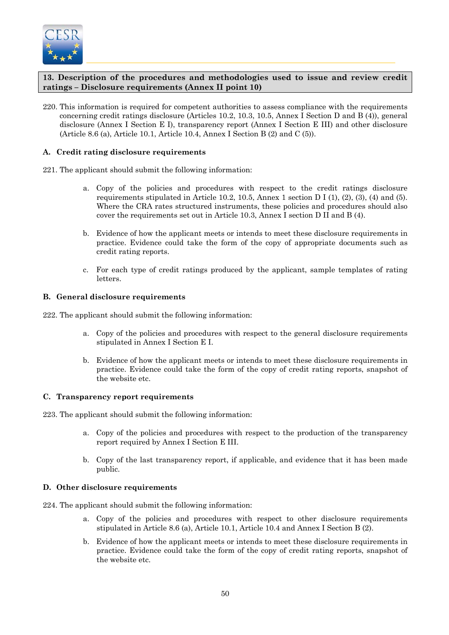

# **13. Description of the procedures and methodologies used to issue and review credit ratings – Disclosure requirements (Annex II point 10)**

220. This information is required for competent authorities to assess compliance with the requirements concerning credit ratings disclosure (Articles 10.2, 10.3, 10.5, Annex I Section D and B (4)), general disclosure (Annex I Section E I), transparency report (Annex I Section E III) and other disclosure (Article 8.6 (a), Article 10.1, Article 10.4, Annex I Section B (2) and C (5)).

# **A. Credit rating disclosure requirements**

- 221. The applicant should submit the following information:
	- a. Copy of the policies and procedures with respect to the credit ratings disclosure requirements stipulated in Article 10.2, 10.5, Annex 1 section D I (1), (2), (3), (4) and (5). Where the CRA rates structured instruments, these policies and procedures should also cover the requirements set out in Article 10.3, Annex I section D II and B (4).
	- b. Evidence of how the applicant meets or intends to meet these disclosure requirements in practice. Evidence could take the form of the copy of appropriate documents such as credit rating reports.
	- c. For each type of credit ratings produced by the applicant, sample templates of rating letters.

# **B. General disclosure requirements**

222. The applicant should submit the following information:

- a. Copy of the policies and procedures with respect to the general disclosure requirements stipulated in Annex I Section E I.
- b. Evidence of how the applicant meets or intends to meet these disclosure requirements in practice. Evidence could take the form of the copy of credit rating reports, snapshot of the website etc.

#### **C. Transparency report requirements**

223. The applicant should submit the following information:

- a. Copy of the policies and procedures with respect to the production of the transparency report required by Annex I Section E III.
- b. Copy of the last transparency report, if applicable, and evidence that it has been made public.

#### **D. Other disclosure requirements**

- 224. The applicant should submit the following information:
	- a. Copy of the policies and procedures with respect to other disclosure requirements stipulated in Article 8.6 (a), Article 10.1, Article 10.4 and Annex I Section B (2).
	- b. Evidence of how the applicant meets or intends to meet these disclosure requirements in practice. Evidence could take the form of the copy of credit rating reports, snapshot of the website etc.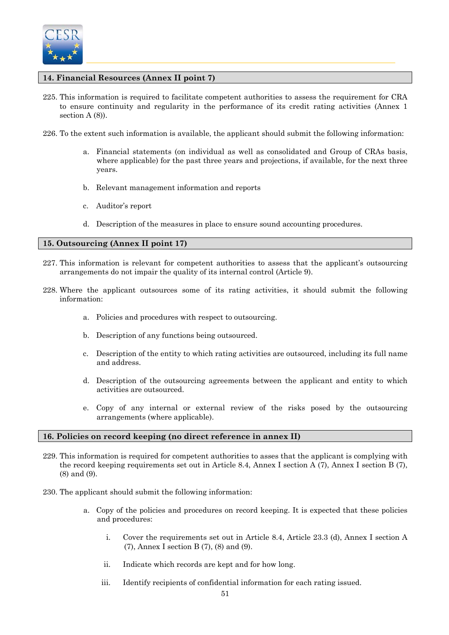

# **14. Financial Resources (Annex II point 7)**

- 225. This information is required to facilitate competent authorities to assess the requirement for CRA to ensure continuity and regularity in the performance of its credit rating activities (Annex 1 section A (8)).
- 226. To the extent such information is available, the applicant should submit the following information:
	- a. Financial statements (on individual as well as consolidated and Group of CRAs basis, where applicable) for the past three years and projections, if available, for the next three years.
	- b. Relevant management information and reports
	- c. Auditor's report
	- d. Description of the measures in place to ensure sound accounting procedures.

# **15. Outsourcing (Annex II point 17)**

- 227. This information is relevant for competent authorities to assess that the applicant's outsourcing arrangements do not impair the quality of its internal control (Article 9).
- 228. Where the applicant outsources some of its rating activities, it should submit the following information:
	- a. Policies and procedures with respect to outsourcing.
	- b. Description of any functions being outsourced.
	- c. Description of the entity to which rating activities are outsourced, including its full name and address.
	- d. Description of the outsourcing agreements between the applicant and entity to which activities are outsourced.
	- e. Copy of any internal or external review of the risks posed by the outsourcing arrangements (where applicable).

#### **16. Policies on record keeping (no direct reference in annex II)**

- 229. This information is required for competent authorities to asses that the applicant is complying with the record keeping requirements set out in Article 8.4, Annex I section A (7), Annex I section B (7), (8) and (9).
- 230. The applicant should submit the following information:
	- a. Copy of the policies and procedures on record keeping. It is expected that these policies and procedures:
		- i. Cover the requirements set out in Article 8.4, Article 23.3 (d), Annex I section A (7), Annex I section B (7), (8) and (9).
		- ii. Indicate which records are kept and for how long.
		- iii. Identify recipients of confidential information for each rating issued.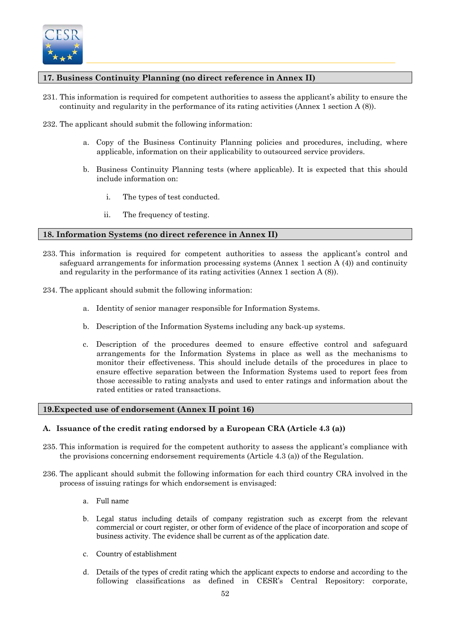

# **17. Business Continuity Planning (no direct reference in Annex II)**

- 231. This information is required for competent authorities to assess the applicant's ability to ensure the continuity and regularity in the performance of its rating activities (Annex 1 section A (8)).
- 232. The applicant should submit the following information:
	- a. Copy of the Business Continuity Planning policies and procedures, including, where applicable, information on their applicability to outsourced service providers.
	- b. Business Continuity Planning tests (where applicable). It is expected that this should include information on:
		- i. The types of test conducted.
		- ii. The frequency of testing.

### **18. Information Systems (no direct reference in Annex II)**

- 233. This information is required for competent authorities to assess the applicant's control and safeguard arrangements for information processing systems (Annex 1 section A (4)) and continuity and regularity in the performance of its rating activities (Annex 1 section A (8)).
- 234. The applicant should submit the following information:
	- a. Identity of senior manager responsible for Information Systems.
	- b. Description of the Information Systems including any back-up systems.
	- c. Description of the procedures deemed to ensure effective control and safeguard arrangements for the Information Systems in place as well as the mechanisms to monitor their effectiveness. This should include details of the procedures in place to ensure effective separation between the Information Systems used to report fees from those accessible to rating analysts and used to enter ratings and information about the rated entities or rated transactions.

# **19.Expected use of endorsement (Annex II point 16)**

# **A. Issuance of the credit rating endorsed by a European CRA (Article 4.3 (a))**

- 235. This information is required for the competent authority to assess the applicant's compliance with the provisions concerning endorsement requirements (Article 4.3 (a)) of the Regulation.
- 236. The applicant should submit the following information for each third country CRA involved in the process of issuing ratings for which endorsement is envisaged:
	- a. Full name
	- b. Legal status including details of company registration such as excerpt from the relevant commercial or court register, or other form of evidence of the place of incorporation and scope of business activity. The evidence shall be current as of the application date.
	- c. Country of establishment
	- d. Details of the types of credit rating which the applicant expects to endorse and according to the following classifications as defined in CESR's Central Repository: corporate,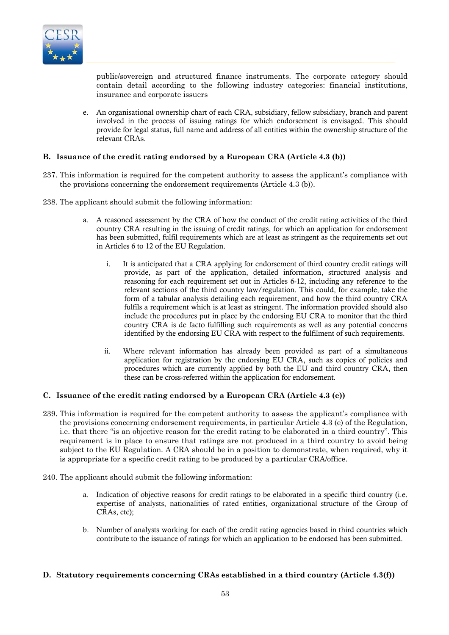

public/sovereign and structured finance instruments. The corporate category should contain detail according to the following industry categories: financial institutions, insurance and corporate issuers

e. An organisational ownership chart of each CRA, subsidiary, fellow subsidiary, branch and parent involved in the process of issuing ratings for which endorsement is envisaged. This should provide for legal status, full name and address of all entities within the ownership structure of the relevant CRAs.

# **B. Issuance of the credit rating endorsed by a European CRA (Article 4.3 (b))**

- 237. This information is required for the competent authority to assess the applicant's compliance with the provisions concerning the endorsement requirements (Article 4.3 (b)).
- 238. The applicant should submit the following information:
	- a. A reasoned assessment by the CRA of how the conduct of the credit rating activities of the third country CRA resulting in the issuing of credit ratings, for which an application for endorsement has been submitted, fulfil requirements which are at least as stringent as the requirements set out in Articles 6 to 12 of the EU Regulation.
		- i. It is anticipated that a CRA applying for endorsement of third country credit ratings will provide, as part of the application, detailed information, structured analysis and reasoning for each requirement set out in Articles 6-12, including any reference to the relevant sections of the third country law/regulation. This could, for example, take the form of a tabular analysis detailing each requirement, and how the third country CRA fulfils a requirement which is at least as stringent. The information provided should also include the procedures put in place by the endorsing EU CRA to monitor that the third country CRA is de facto fulfilling such requirements as well as any potential concerns identified by the endorsing EU CRA with respect to the fulfilment of such requirements.
		- ii. Where relevant information has already been provided as part of a simultaneous application for registration by the endorsing EU CRA, such as copies of policies and procedures which are currently applied by both the EU and third country CRA, then these can be cross-referred within the application for endorsement.

#### **C. Issuance of the credit rating endorsed by a European CRA (Article 4.3 (e))**

- 239. This information is required for the competent authority to assess the applicant's compliance with the provisions concerning endorsement requirements, in particular Article 4.3 (e) of the Regulation, i.e. that there "is an objective reason for the credit rating to be elaborated in a third country". This requirement is in place to ensure that ratings are not produced in a third country to avoid being subject to the EU Regulation. A CRA should be in a position to demonstrate, when required, why it is appropriate for a specific credit rating to be produced by a particular CRA/office.
- 240. The applicant should submit the following information:
	- a. Indication of objective reasons for credit ratings to be elaborated in a specific third country (i.e. expertise of analysts, nationalities of rated entities, organizational structure of the Group of CRAs, etc);
	- b. Number of analysts working for each of the credit rating agencies based in third countries which contribute to the issuance of ratings for which an application to be endorsed has been submitted.

#### **D. Statutory requirements concerning CRAs established in a third country (Article 4.3(f))**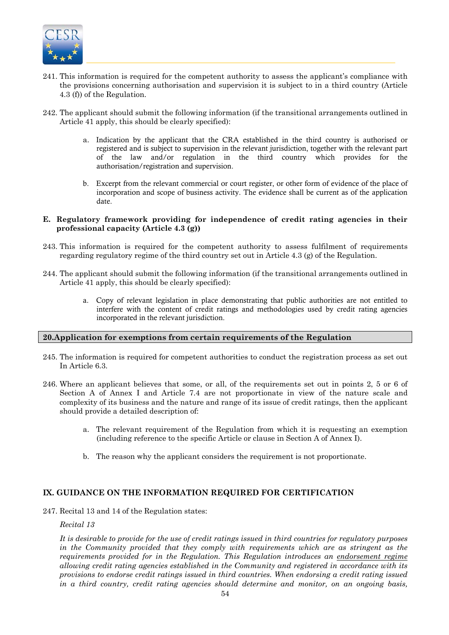

- 241. This information is required for the competent authority to assess the applicant's compliance with the provisions concerning authorisation and supervision it is subject to in a third country (Article 4.3 (f)) of the Regulation.
- 242. The applicant should submit the following information (if the transitional arrangements outlined in Article 41 apply, this should be clearly specified):
	- a. Indication by the applicant that the CRA established in the third country is authorised or registered and is subject to supervision in the relevant jurisdiction, together with the relevant part of the law and/or regulation in the third country which provides for the authorisation/registration and supervision.
	- b. Excerpt from the relevant commercial or court register, or other form of evidence of the place of incorporation and scope of business activity. The evidence shall be current as of the application date.

### **E. Regulatory framework providing for independence of credit rating agencies in their professional capacity (Article 4.3 (g))**

- 243. This information is required for the competent authority to assess fulfilment of requirements regarding regulatory regime of the third country set out in Article 4.3 (g) of the Regulation.
- 244. The applicant should submit the following information (if the transitional arrangements outlined in Article 41 apply, this should be clearly specified):
	- a. Copy of relevant legislation in place demonstrating that public authorities are not entitled to interfere with the content of credit ratings and methodologies used by credit rating agencies incorporated in the relevant jurisdiction.

# **20.Application for exemptions from certain requirements of the Regulation**

- 245. The information is required for competent authorities to conduct the registration process as set out In Article 6.3.
- 246. Where an applicant believes that some, or all, of the requirements set out in points 2, 5 or 6 of Section A of Annex I and Article 7.4 are not proportionate in view of the nature scale and complexity of its business and the nature and range of its issue of credit ratings, then the applicant should provide a detailed description of:
	- a. The relevant requirement of the Regulation from which it is requesting an exemption (including reference to the specific Article or clause in Section A of Annex I).
	- b. The reason why the applicant considers the requirement is not proportionate.

# **IX. GUIDANCE ON THE INFORMATION REQUIRED FOR CERTIFICATION**

247. Recital 13 and 14 of the Regulation states:

#### *Recital 13*

*It is desirable to provide for the use of credit ratings issued in third countries for regulatory purposes in the Community provided that they comply with requirements which are as stringent as the requirements provided for in the Regulation. This Regulation introduces an endorsement regime allowing credit rating agencies established in the Community and registered in accordance with its provisions to endorse credit ratings issued in third countries. When endorsing a credit rating issued in a third country, credit rating agencies should determine and monitor, on an ongoing basis,*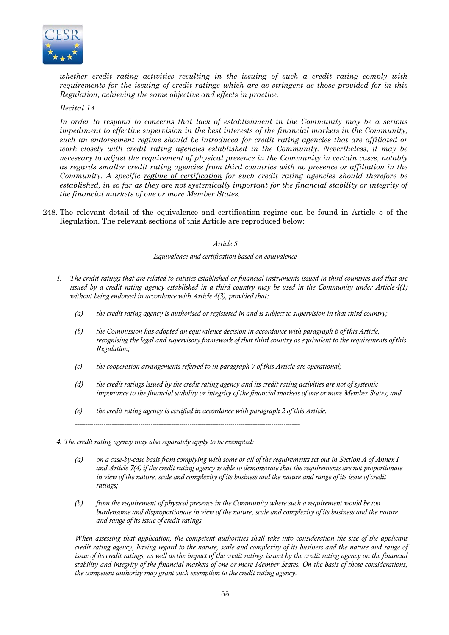

*whether credit rating activities resulting in the issuing of such a credit rating comply with requirements for the issuing of credit ratings which are as stringent as those provided for in this Regulation, achieving the same objective and effects in practice.* 

# *Recital 14*

*In order to respond to concerns that lack of establishment in the Community may be a serious impediment to effective supervision in the best interests of the financial markets in the Community, such an endorsement regime should be introduced for credit rating agencies that are affiliated or work closely with credit rating agencies established in the Community. Nevertheless, it may be necessary to adjust the requirement of physical presence in the Community in certain cases, notably as regards smaller credit rating agencies from third countries with no presence or affiliation in the Community. A specific regime of certification for such credit rating agencies should therefore be*  established, in so far as they are not systemically important for the financial stability or integrity of *the financial markets of one or more Member States.* 

248. The relevant detail of the equivalence and certification regime can be found in Article 5 of the Regulation. The relevant sections of this Article are reproduced below:

#### *Article 5*

#### *Equivalence and certification based on equivalence*

- *1. The credit ratings that are related to entities established or financial instruments issued in third countries and that are issued by a credit rating agency established in a third country may be used in the Community under Article 4(1) without being endorsed in accordance with Article 4(3), provided that:* 
	- *(a) the credit rating agency is authorised or registered in and is subject to supervision in that third country;*
	- *(b) the Commission has adopted an equivalence decision in accordance with paragraph 6 of this Article, recognising the legal and supervisory framework of that third country as equivalent to the requirements of this Regulation;*
	- *(c) the cooperation arrangements referred to in paragraph 7 of this Article are operational;*
	- *(d) the credit ratings issued by the credit rating agency and its credit rating activities are not of systemic importance to the financial stability or integrity of the financial markets of one or more Member States; and*
	- *(e) the credit rating agency is certified in accordance with paragraph 2 of this Article.*

*--------------------------------------------------------------------------------------------------------------* 

*4. The credit rating agency may also separately apply to be exempted:* 

- *(a) on a case-by-case basis from complying with some or all of the requirements set out in Section A of Annex I and Article 7(4) if the credit rating agency is able to demonstrate that the requirements are not proportionate in view of the nature, scale and complexity of its business and the nature and range of its issue of credit ratings;*
- *(b) from the requirement of physical presence in the Community where such a requirement would be too burdensome and disproportionate in view of the nature, scale and complexity of its business and the nature and range of its issue of credit ratings.*

*When assessing that application, the competent authorities shall take into consideration the size of the applicant credit rating agency, having regard to the nature, scale and complexity of its business and the nature and range of issue of its credit ratings, as well as the impact of the credit ratings issued by the credit rating agency on the financial stability and integrity of the financial markets of one or more Member States. On the basis of those considerations, the competent authority may grant such exemption to the credit rating agency.*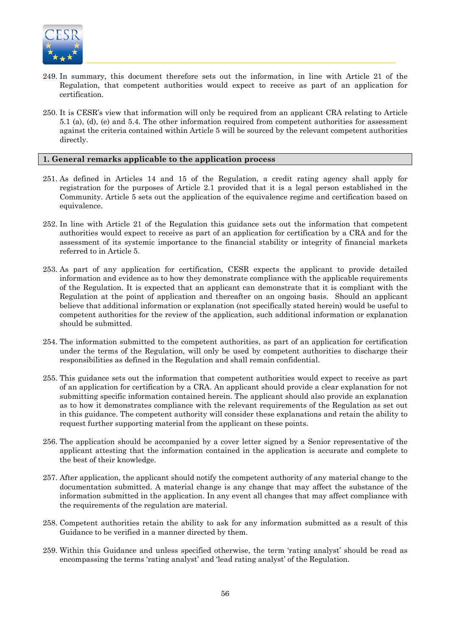

- 249. In summary, this document therefore sets out the information, in line with Article 21 of the Regulation, that competent authorities would expect to receive as part of an application for certification.
- 250. It is CESR's view that information will only be required from an applicant CRA relating to Article 5.1 (a), (d), (e) and 5.4. The other information required from competent authorities for assessment against the criteria contained within Article 5 will be sourced by the relevant competent authorities directly.

# **1. General remarks applicable to the application process**

- 251. As defined in Articles 14 and 15 of the Regulation, a credit rating agency shall apply for registration for the purposes of Article 2.1 provided that it is a legal person established in the Community. Article 5 sets out the application of the equivalence regime and certification based on equivalence.
- 252. In line with Article 21 of the Regulation this guidance sets out the information that competent authorities would expect to receive as part of an application for certification by a CRA and for the assessment of its systemic importance to the financial stability or integrity of financial markets referred to in Article 5.
- 253. As part of any application for certification, CESR expects the applicant to provide detailed information and evidence as to how they demonstrate compliance with the applicable requirements of the Regulation. It is expected that an applicant can demonstrate that it is compliant with the Regulation at the point of application and thereafter on an ongoing basis. Should an applicant believe that additional information or explanation (not specifically stated herein) would be useful to competent authorities for the review of the application, such additional information or explanation should be submitted.
- 254. The information submitted to the competent authorities, as part of an application for certification under the terms of the Regulation, will only be used by competent authorities to discharge their responsibilities as defined in the Regulation and shall remain confidential.
- 255. This guidance sets out the information that competent authorities would expect to receive as part of an application for certification by a CRA. An applicant should provide a clear explanation for not submitting specific information contained herein. The applicant should also provide an explanation as to how it demonstrates compliance with the relevant requirements of the Regulation as set out in this guidance. The competent authority will consider these explanations and retain the ability to request further supporting material from the applicant on these points.
- 256. The application should be accompanied by a cover letter signed by a Senior representative of the applicant attesting that the information contained in the application is accurate and complete to the best of their knowledge.
- 257. After application, the applicant should notify the competent authority of any material change to the documentation submitted. A material change is any change that may affect the substance of the information submitted in the application. In any event all changes that may affect compliance with the requirements of the regulation are material.
- 258. Competent authorities retain the ability to ask for any information submitted as a result of this Guidance to be verified in a manner directed by them.
- 259. Within this Guidance and unless specified otherwise, the term 'rating analyst' should be read as encompassing the terms 'rating analyst' and 'lead rating analyst' of the Regulation.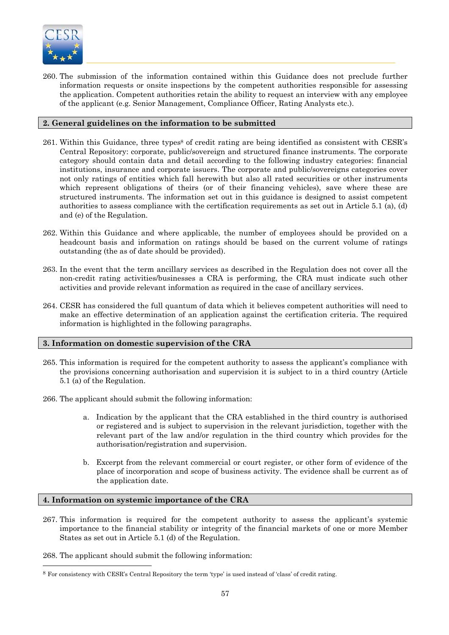

260. The submission of the information contained within this Guidance does not preclude further information requests or onsite inspections by the competent authorities responsible for assessing the application. Competent authorities retain the ability to request an interview with any employee of the applicant (e.g. Senior Management, Compliance Officer, Rating Analysts etc.).

# **2. General guidelines on the information to be submitted**

- 261. Within this Guidance, three types<sup>8</sup> of credit rating are being identified as consistent with CESR's Central Repository: corporate, public/sovereign and structured finance instruments. The corporate category should contain data and detail according to the following industry categories: financial institutions, insurance and corporate issuers. The corporate and public/sovereigns categories cover not only ratings of entities which fall herewith but also all rated securities or other instruments which represent obligations of theirs (or of their financing vehicles), save where these are structured instruments. The information set out in this guidance is designed to assist competent authorities to assess compliance with the certification requirements as set out in Article 5.1 (a), (d) and (e) of the Regulation.
- 262. Within this Guidance and where applicable, the number of employees should be provided on a headcount basis and information on ratings should be based on the current volume of ratings outstanding (the as of date should be provided).
- 263. In the event that the term ancillary services as described in the Regulation does not cover all the non-credit rating activities/businesses a CRA is performing, the CRA must indicate such other activities and provide relevant information as required in the case of ancillary services.
- 264. CESR has considered the full quantum of data which it believes competent authorities will need to make an effective determination of an application against the certification criteria. The required information is highlighted in the following paragraphs.

#### **3. Information on domestic supervision of the CRA**

- 265. This information is required for the competent authority to assess the applicant's compliance with the provisions concerning authorisation and supervision it is subject to in a third country (Article 5.1 (a) of the Regulation.
- 266. The applicant should submit the following information:
	- a. Indication by the applicant that the CRA established in the third country is authorised or registered and is subject to supervision in the relevant jurisdiction, together with the relevant part of the law and/or regulation in the third country which provides for the authorisation/registration and supervision.
	- b. Excerpt from the relevant commercial or court register, or other form of evidence of the place of incorporation and scope of business activity. The evidence shall be current as of the application date.

#### **4. Information on systemic importance of the CRA**

267. This information is required for the competent authority to assess the applicant's systemic importance to the financial stability or integrity of the financial markets of one or more Member States as set out in Article 5.1 (d) of the Regulation.

268. The applicant should submit the following information:

l

<sup>8</sup> For consistency with CESR's Central Repository the term 'type' is used instead of 'class' of credit rating.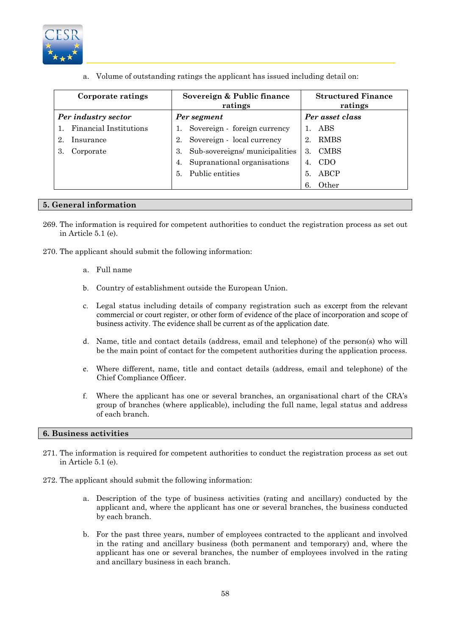

a. Volume of outstanding ratings the applicant has issued including detail on:

| Corporate ratings             | Sovereign & Public finance<br>ratings | <b>Structured Finance</b><br>ratings |
|-------------------------------|---------------------------------------|--------------------------------------|
| Per industry sector           | Per segment                           | Per asset class                      |
| <b>Financial Institutions</b> | Sovereign - foreign currency          | ABS                                  |
| Insurance<br>2.               | Sovereign - local currency<br>2.      | <b>RMBS</b><br>2.                    |
| Corporate                     | Sub-sovereigns/municipalities<br>3.   | <b>CMBS</b><br>3.                    |
|                               | Supranational organisations<br>4.     | CDO                                  |
|                               | Public entities<br>5.                 | ABCP<br>5.                           |
|                               |                                       | Other                                |

#### **5. General information**

- 269. The information is required for competent authorities to conduct the registration process as set out in Article 5.1 (e).
- 270. The applicant should submit the following information:
	- a. Full name
	- b. Country of establishment outside the European Union.
	- c. Legal status including details of company registration such as excerpt from the relevant commercial or court register, or other form of evidence of the place of incorporation and scope of business activity. The evidence shall be current as of the application date.
	- d. Name, title and contact details (address, email and telephone) of the person(s) who will be the main point of contact for the competent authorities during the application process.
	- e. Where different, name, title and contact details (address, email and telephone) of the Chief Compliance Officer.
	- f. Where the applicant has one or several branches, an organisational chart of the CRA's group of branches (where applicable), including the full name, legal status and address of each branch.

#### **6. Business activities**

- 271. The information is required for competent authorities to conduct the registration process as set out in Article 5.1 (e).
- 272. The applicant should submit the following information:
	- a. Description of the type of business activities (rating and ancillary) conducted by the applicant and, where the applicant has one or several branches, the business conducted by each branch.
	- b. For the past three years, number of employees contracted to the applicant and involved in the rating and ancillary business (both permanent and temporary) and, where the applicant has one or several branches, the number of employees involved in the rating and ancillary business in each branch.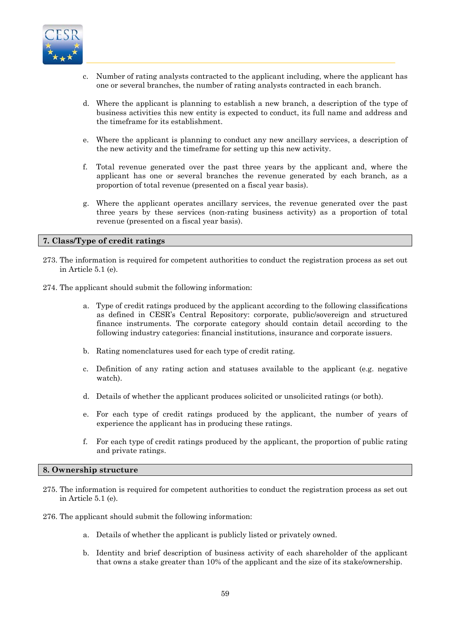

- c. Number of rating analysts contracted to the applicant including, where the applicant has one or several branches, the number of rating analysts contracted in each branch.
- d. Where the applicant is planning to establish a new branch, a description of the type of business activities this new entity is expected to conduct, its full name and address and the timeframe for its establishment.
- e. Where the applicant is planning to conduct any new ancillary services, a description of the new activity and the timeframe for setting up this new activity.
- f. Total revenue generated over the past three years by the applicant and, where the applicant has one or several branches the revenue generated by each branch, as a proportion of total revenue (presented on a fiscal year basis).
- g. Where the applicant operates ancillary services, the revenue generated over the past three years by these services (non-rating business activity) as a proportion of total revenue (presented on a fiscal year basis).

#### **7. Class/Type of credit ratings**

- 273. The information is required for competent authorities to conduct the registration process as set out in Article 5.1 (e).
- 274. The applicant should submit the following information:
	- a. Type of credit ratings produced by the applicant according to the following classifications as defined in CESR's Central Repository: corporate, public/sovereign and structured finance instruments. The corporate category should contain detail according to the following industry categories: financial institutions, insurance and corporate issuers.
	- b. Rating nomenclatures used for each type of credit rating.
	- c. Definition of any rating action and statuses available to the applicant (e.g. negative watch).
	- d. Details of whether the applicant produces solicited or unsolicited ratings (or both).
	- e. For each type of credit ratings produced by the applicant, the number of years of experience the applicant has in producing these ratings.
	- f. For each type of credit ratings produced by the applicant, the proportion of public rating and private ratings.

#### **8. Ownership structure**

- 275. The information is required for competent authorities to conduct the registration process as set out in Article 5.1 (e).
- 276. The applicant should submit the following information:
	- a. Details of whether the applicant is publicly listed or privately owned.
	- b. Identity and brief description of business activity of each shareholder of the applicant that owns a stake greater than 10% of the applicant and the size of its stake/ownership.